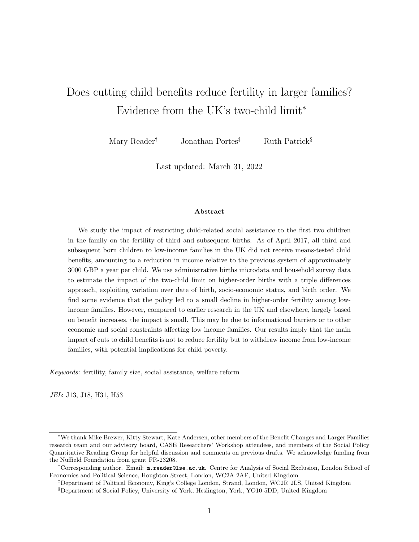# Does cutting child benefits reduce fertility in larger families? Evidence from the UK's two-child limit<sup>∗</sup>

Mary Reader<sup>†</sup> Jonathan Portes<sup>‡</sup> Ruth Patrick<sup>§</sup>

Last updated: March 31, 2022

#### Abstract

We study the impact of restricting child-related social assistance to the first two children in the family on the fertility of third and subsequent births. As of April 2017, all third and subsequent born children to low-income families in the UK did not receive means-tested child benefits, amounting to a reduction in income relative to the previous system of approximately 3000 GBP a year per child. We use administrative births microdata and household survey data to estimate the impact of the two-child limit on higher-order births with a triple differences approach, exploiting variation over date of birth, socio-economic status, and birth order. We find some evidence that the policy led to a small decline in higher-order fertility among lowincome families. However, compared to earlier research in the UK and elsewhere, largely based on benefit increases, the impact is small. This may be due to informational barriers or to other economic and social constraints affecting low income families. Our results imply that the main impact of cuts to child benefits is not to reduce fertility but to withdraw income from low-income families, with potential implications for child poverty.

Keywords: fertility, family size, social assistance, welfare reform

JEL: J13, J18, H31, H53

<sup>∗</sup>We thank Mike Brewer, Kitty Stewart, Kate Andersen, other members of the Benefit Changes and Larger Families research team and our advisory board, CASE Researchers' Workshop attendees, and members of the Social Policy Quantitative Reading Group for helpful discussion and comments on previous drafts. We acknowledge funding from the Nuffield Foundation from grant FR-23208.

<sup>†</sup>Corresponding author. Email: m.reader@lse.ac.uk. Centre for Analysis of Social Exclusion, London School of Economics and Political Science, Houghton Street, London, WC2A 2AE, United Kingdom

<sup>‡</sup>Department of Political Economy, King's College London, Strand, London, WC2R 2LS, United Kingdom

<sup>§</sup>Department of Social Policy, University of York, Heslington, York, YO10 5DD, United Kingdom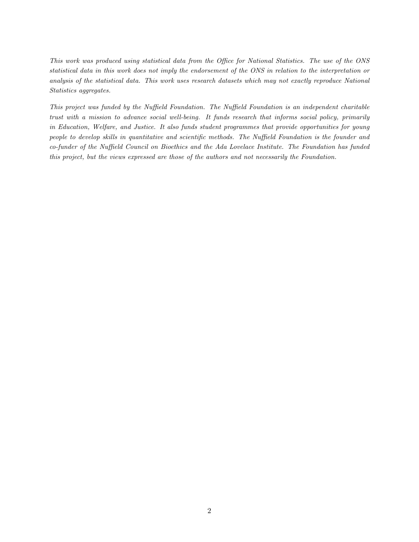This work was produced using statistical data from the Office for National Statistics. The use of the ONS statistical data in this work does not imply the endorsement of the ONS in relation to the interpretation or analysis of the statistical data. This work uses research datasets which may not exactly reproduce National Statistics aggregates.

This project was funded by the Nuffield Foundation. The Nuffield Foundation is an independent charitable trust with a mission to advance social well-being. It funds research that informs social policy, primarily in Education, Welfare, and Justice. It also funds student programmes that provide opportunities for young people to develop skills in quantitative and scientific methods. The Nuffield Foundation is the founder and co-funder of the Nuffield Council on Bioethics and the Ada Lovelace Institute. The Foundation has funded this project, but the views expressed are those of the authors and not necessarily the Foundation.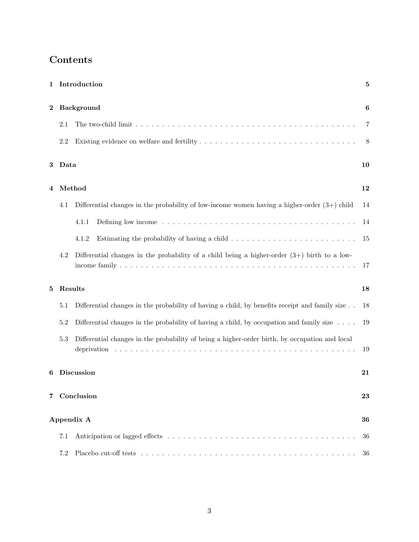| 1        |         | Introduction                                                                                                                   | 5                |
|----------|---------|--------------------------------------------------------------------------------------------------------------------------------|------------------|
| $\bf{2}$ |         | <b>Background</b>                                                                                                              | $\boldsymbol{6}$ |
|          | 2.1     |                                                                                                                                | $\overline{7}$   |
|          | $2.2\,$ |                                                                                                                                | 8                |
| 3        | Data    |                                                                                                                                | 10               |
| 4        |         | Method                                                                                                                         | 12               |
|          | 4.1     | Differential changes in the probability of low-income women having a higher-order $(3+)$ child                                 | 14               |
|          |         | Defining low income $\dots \dots \dots \dots \dots \dots \dots \dots \dots \dots \dots \dots \dots \dots \dots \dots$<br>4.1.1 | 14               |
|          |         | 4.1.2<br>Estimating the probability of having a child $\dots \dots \dots \dots \dots \dots \dots \dots \dots$                  | 15               |
|          | 4.2     | Differential changes in the probability of a child being a higher-order $(3+)$ birth to a low-                                 | 17               |
| 5        |         | Results                                                                                                                        | 18               |
|          | 5.1     | Differential changes in the probability of having a child, by benefits receipt and family size                                 | 18               |
|          | 5.2     | Differential changes in the probability of having a child, by occupation and family size $\ldots$ .                            | 19               |
|          | $5.3\,$ | Differential changes in the probability of being a higher-order birth, by occupation and local                                 | 19               |
| 6        |         | <b>Discussion</b>                                                                                                              | 21               |
| 7        |         | Conclusion                                                                                                                     | 23               |
|          |         | Appendix A                                                                                                                     | 36               |
|          | 7.1     |                                                                                                                                | 36               |
|          | 7.2     |                                                                                                                                | 36               |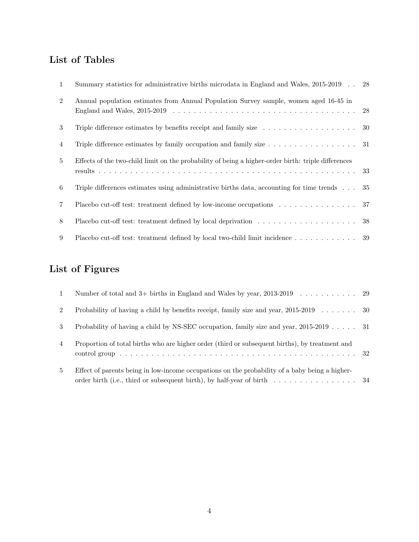## List of Tables

| $\mathbf{1}$   | Summary statistics for administrative births microdata in England and Wales, 2015-2019 28                   |  |
|----------------|-------------------------------------------------------------------------------------------------------------|--|
| $\overline{2}$ | Annual population estimates from Annual Population Survey sample, women aged 16-45 in                       |  |
| 3              | Triple difference estimates by benefits receipt and family size $\dots \dots \dots \dots \dots \dots \dots$ |  |
| 4              | Triple difference estimates by family occupation and family size $\dots \dots \dots \dots \dots \dots$ 31   |  |
| $5^{\circ}$    | Effects of the two-child limit on the probability of being a higher-order birth: triple differences         |  |
| 6              | Triple differences estimates using administrative births data, accounting for time trends $\ldots$ 35       |  |
| $\overline{7}$ | Placebo cut-off test: treatment defined by low-income occupations 37                                        |  |
| 8              |                                                                                                             |  |
| 9              | Placebo cut-off test: treatment defined by local two-child limit incidence 39                               |  |

## List of Figures

| $\mathbf{1}$   |                                                                                                |  |
|----------------|------------------------------------------------------------------------------------------------|--|
| $\overline{2}$ | Probability of having a child by benefits receipt, family size and year, $2015-2019$ 30        |  |
| $\mathcal{S}$  | Probability of having a child by NS-SEC occupation, family size and year, 2015-2019 31         |  |
| 4              | Proportion of total births who are higher order (third or subsequent births), by treatment and |  |
|                |                                                                                                |  |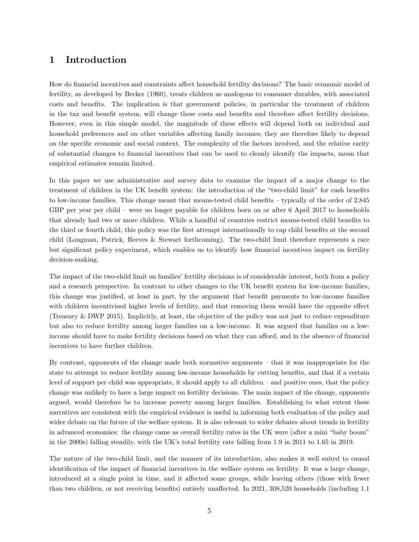### 1 Introduction

How do financial incentives and constraints affect household fertility decisions? The basic economic model of fertility, as developed by Becker (1960), treats children as analogous to consumer durables, with associated costs and benefits. The implication is that government policies, in particular the treatment of children in the tax and benefit system, will change these costs and benefits and therefore affect fertility decisions. However, even in this simple model, the magnitude of these effects will depend both on individual and household preferences and on other variables affecting family incomes; they are therefore likely to depend on the specific economic and social context. The complexity of the factors involved, and the relative rarity of substantial changes to financial incentives that can be used to cleanly identify the impacts, mean that empirical estimates remain limited.

In this paper we use administrative and survey data to examine the impact of a major change to the treatment of children in the UK benefit system: the introduction of the "two-child limit" for cash benefits to low-income families. This change meant that means-tested child benefits – typically of the order of 2,845 GBP per year per child – were no longer payable for children born on or after 6 April 2017 to households that already had two or more children. While a handful of countries restrict means-tested child benefits to the third or fourth child, this policy was the first attempt internationally to cap child benefits at the second child (Longman, Patrick, Reeves & Stewart forthcoming). The two-child limit therefore represents a rare but significant policy experiment, which enables us to identify how financial incentives impact on fertility decision-making.

The impact of the two-child limit on families' fertility decisions is of considerable interest, both from a policy and a research perspective. In contrast to other changes to the UK benefit system for low-income families, this change was justified, at least in part, by the argument that benefit payments to low-income families with children incentivised higher levels of fertility, and that removing them would have the opposite effect (Treasury & DWP 2015). Implicitly, at least, the objective of the policy was not just to reduce expenditure but also to reduce fertility among larger families on a low-income. It was argued that families on a lowincome should have to make fertility decisions based on what they can afford, and in the absence of financial incentives to have further children.

By contrast, opponents of the change made both normative arguments – that it was inappropriate for the state to attempt to reduce fertility among low-income households by cutting benefits, and that if a certain level of support per child was appropriate, it should apply to all children – and positive ones, that the policy change was unlikely to have a large impact on fertility decisions. The main impact of the change, opponents argued, would therefore be to increase poverty among larger families. Establishing to what extent these narratives are consistent with the empirical evidence is useful in informing both evaluation of the policy and wider debate on the future of the welfare system. It is also relevant to wider debates about trends in fertility in advanced economies: the change came as overall fertility rates in the UK were (after a mini "baby boom" in the 2000s) falling steadily, with the UK's total fertility rate falling from 1.9 in 2011 to 1.65 in 2019.

The nature of the two-child limit, and the manner of its introduction, also makes it well suited to causal identification of the impact of financial incentives in the welfare system on fertility. It was a large change, introduced at a single point in time, and it affected some groups, while leaving others (those with fewer than two children, or not receiving benefits) entirely unaffected. In 2021, 308,520 households (including 1.1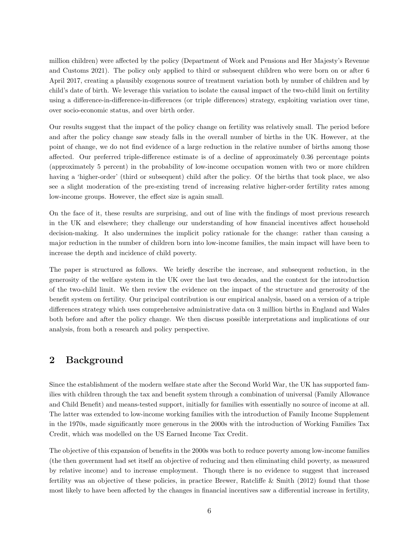million children) were affected by the policy (Department of Work and Pensions and Her Majesty's Revenue and Customs 2021). The policy only applied to third or subsequent children who were born on or after 6 April 2017, creating a plausibly exogenous source of treatment variation both by number of children and by child's date of birth. We leverage this variation to isolate the causal impact of the two-child limit on fertility using a difference-in-difference-in-differences (or triple differences) strategy, exploiting variation over time, over socio-economic status, and over birth order.

Our results suggest that the impact of the policy change on fertility was relatively small. The period before and after the policy change saw steady falls in the overall number of births in the UK. However, at the point of change, we do not find evidence of a large reduction in the relative number of births among those affected. Our preferred triple-difference estimate is of a decline of approximately 0.36 percentage points (approximately 5 percent) in the probability of low-income occupation women with two or more children having a 'higher-order' (third or subsequent) child after the policy. Of the births that took place, we also see a slight moderation of the pre-existing trend of increasing relative higher-order fertility rates among low-income groups. However, the effect size is again small.

On the face of it, these results are surprising, and out of line with the findings of most previous research in the UK and elsewhere; they challenge our understanding of how financial incentives affect household decision-making. It also undermines the implicit policy rationale for the change: rather than causing a major reduction in the number of children born into low-income families, the main impact will have been to increase the depth and incidence of child poverty.

The paper is structured as follows. We briefly describe the increase, and subsequent reduction, in the generosity of the welfare system in the UK over the last two decades, and the context for the introduction of the two-child limit. We then review the evidence on the impact of the structure and generosity of the benefit system on fertility. Our principal contribution is our empirical analysis, based on a version of a triple differences strategy which uses comprehensive administrative data on 3 million births in England and Wales both before and after the policy change. We then discuss possible interpretations and implications of our analysis, from both a research and policy perspective.

#### 2 Background

Since the establishment of the modern welfare state after the Second World War, the UK has supported families with children through the tax and benefit system through a combination of universal (Family Allowance and Child Benefit) and means-tested support, initially for families with essentially no source of income at all. The latter was extended to low-income working families with the introduction of Family Income Supplement in the 1970s, made significantly more generous in the 2000s with the introduction of Working Families Tax Credit, which was modelled on the US Earned Income Tax Credit.

The objective of this expansion of benefits in the 2000s was both to reduce poverty among low-income families (the then government had set itself an objective of reducing and then eliminating child poverty, as measured by relative income) and to increase employment. Though there is no evidence to suggest that increased fertility was an objective of these policies, in practice Brewer, Ratcliffe & Smith (2012) found that those most likely to have been affected by the changes in financial incentives saw a differential increase in fertility,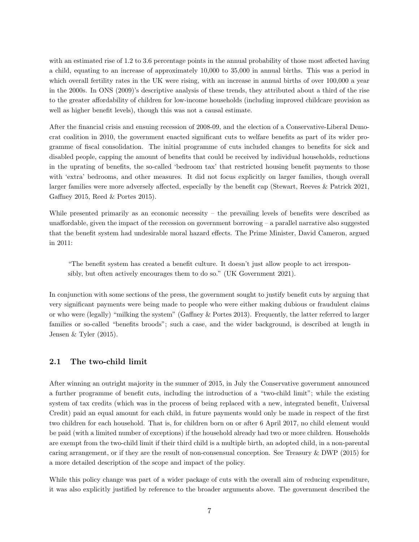with an estimated rise of 1.2 to 3.6 percentage points in the annual probability of those most affected having a child, equating to an increase of approximately 10,000 to 35,000 in annual births. This was a period in which overall fertility rates in the UK were rising, with an increase in annual births of over 100,000 a year in the 2000s. In ONS (2009)'s descriptive analysis of these trends, they attributed about a third of the rise to the greater affordability of children for low-income households (including improved childcare provision as well as higher benefit levels), though this was not a causal estimate.

After the financial crisis and ensuing recession of 2008-09, and the election of a Conservative-Liberal Democrat coalition in 2010, the government enacted significant cuts to welfare benefits as part of its wider programme of fiscal consolidation. The initial programme of cuts included changes to benefits for sick and disabled people, capping the amount of benefits that could be received by individual households, reductions in the uprating of benefits, the so-called 'bedroom tax' that restricted housing benefit payments to those with 'extra' bedrooms, and other measures. It did not focus explicitly on larger families, though overall larger families were more adversely affected, especially by the benefit cap (Stewart, Reeves & Patrick 2021, Gaffney 2015, Reed & Portes 2015).

While presented primarily as an economic necessity – the prevailing levels of benefits were described as unaffordable, given the impact of the recession on government borrowing – a parallel narrative also suggested that the benefit system had undesirable moral hazard effects. The Prime Minister, David Cameron, argued in 2011:

"The benefit system has created a benefit culture. It doesn't just allow people to act irresponsibly, but often actively encourages them to do so." (UK Government 2021).

In conjunction with some sections of the press, the government sought to justify benefit cuts by arguing that very significant payments were being made to people who were either making dubious or fraudulent claims or who were (legally) "milking the system" (Gaffney & Portes 2013). Frequently, the latter referred to larger families or so-called "benefits broods"; such a case, and the wider background, is described at length in Jensen & Tyler (2015).

#### 2.1 The two-child limit

After winning an outright majority in the summer of 2015, in July the Conservative government announced a further programme of benefit cuts, including the introduction of a "two-child limit"; while the existing system of tax credits (which was in the process of being replaced with a new, integrated benefit, Universal Credit) paid an equal amount for each child, in future payments would only be made in respect of the first two children for each household. That is, for children born on or after 6 April 2017, no child element would be paid (with a limited number of exceptions) if the household already had two or more children. Households are exempt from the two-child limit if their third child is a multiple birth, an adopted child, in a non-parental caring arrangement, or if they are the result of non-consensual conception. See Treasury & DWP (2015) for a more detailed description of the scope and impact of the policy.

While this policy change was part of a wider package of cuts with the overall aim of reducing expenditure, it was also explicitly justified by reference to the broader arguments above. The government described the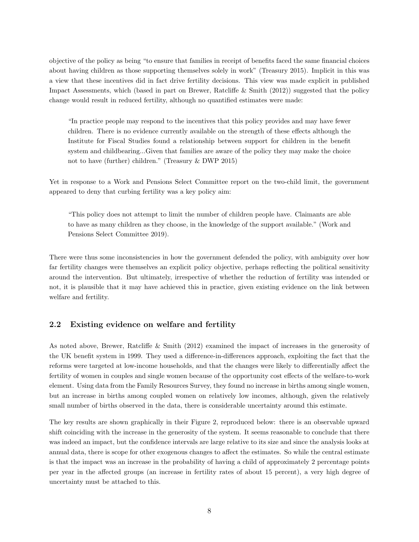objective of the policy as being "to ensure that families in receipt of benefits faced the same financial choices about having children as those supporting themselves solely in work" (Treasury 2015). Implicit in this was a view that these incentives did in fact drive fertility decisions. This view was made explicit in published Impact Assessments, which (based in part on Brewer, Ratcliffe & Smith (2012)) suggested that the policy change would result in reduced fertility, although no quantified estimates were made:

"In practice people may respond to the incentives that this policy provides and may have fewer children. There is no evidence currently available on the strength of these effects although the Institute for Fiscal Studies found a relationship between support for children in the benefit system and childbearing...Given that families are aware of the policy they may make the choice not to have (further) children." (Treasury & DWP 2015)

Yet in response to a Work and Pensions Select Committee report on the two-child limit, the government appeared to deny that curbing fertility was a key policy aim:

"This policy does not attempt to limit the number of children people have. Claimants are able to have as many children as they choose, in the knowledge of the support available." (Work and Pensions Select Committee 2019).

There were thus some inconsistencies in how the government defended the policy, with ambiguity over how far fertility changes were themselves an explicit policy objective, perhaps reflecting the political sensitivity around the intervention. But ultimately, irrespective of whether the reduction of fertility was intended or not, it is plausible that it may have achieved this in practice, given existing evidence on the link between welfare and fertility.

#### 2.2 Existing evidence on welfare and fertility

As noted above, Brewer, Ratcliffe & Smith (2012) examined the impact of increases in the generosity of the UK benefit system in 1999. They used a difference-in-differences approach, exploiting the fact that the reforms were targeted at low-income households, and that the changes were likely to differentially affect the fertility of women in couples and single women because of the opportunity cost effects of the welfare-to-work element. Using data from the Family Resources Survey, they found no increase in births among single women, but an increase in births among coupled women on relatively low incomes, although, given the relatively small number of births observed in the data, there is considerable uncertainty around this estimate.

The key results are shown graphically in their Figure 2, reproduced below: there is an observable upward shift coinciding with the increase in the generosity of the system. It seems reasonable to conclude that there was indeed an impact, but the confidence intervals are large relative to its size and since the analysis looks at annual data, there is scope for other exogenous changes to affect the estimates. So while the central estimate is that the impact was an increase in the probability of having a child of approximately 2 percentage points per year in the affected groups (an increase in fertility rates of about 15 percent), a very high degree of uncertainty must be attached to this.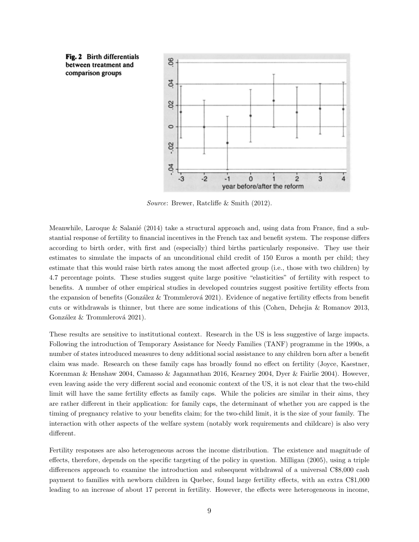

Source: Brewer, Ratcliffe & Smith (2012).

Meanwhile, Laroque & Salanié (2014) take a structural approach and, using data from France, find a substantial response of fertility to financial incentives in the French tax and benefit system. The response differs according to birth order, with first and (especially) third births particularly responsive. They use their estimates to simulate the impacts of an unconditional child credit of 150 Euros a month per child; they estimate that this would raise birth rates among the most affected group (i.e., those with two children) by 4.7 percentage points. These studies suggest quite large positive "elasticities" of fertility with respect to benefits. A number of other empirical studies in developed countries suggest positive fertility effects from the expansion of benefits (González & Trommlerová 2021). Evidence of negative fertility effects from benefit cuts or withdrawals is thinner, but there are some indications of this (Cohen, Dehejia & Romanov 2013, González & Trommlerová 2021).

These results are sensitive to institutional context. Research in the US is less suggestive of large impacts. Following the introduction of Temporary Assistance for Needy Families (TANF) programme in the 1990s, a number of states introduced measures to deny additional social assistance to any children born after a benefit claim was made. Research on these family caps has broadly found no effect on fertility (Joyce, Kaestner, Korenman & Henshaw 2004, Camasso & Jagannathan 2016, Kearney 2004, Dyer & Fairlie 2004). However, even leaving aside the very different social and economic context of the US, it is not clear that the two-child limit will have the same fertility effects as family caps. While the policies are similar in their aims, they are rather different in their application: for family caps, the determinant of whether you are capped is the timing of pregnancy relative to your benefits claim; for the two-child limit, it is the size of your family. The interaction with other aspects of the welfare system (notably work requirements and childcare) is also very different.

Fertility responses are also heterogeneous across the income distribution. The existence and magnitude of effects, therefore, depends on the specific targeting of the policy in question. Milligan (2005), using a triple differences approach to examine the introduction and subsequent withdrawal of a universal C\$8,000 cash payment to families with newborn children in Quebec, found large fertility effects, with an extra C\$1,000 leading to an increase of about 17 percent in fertility. However, the effects were heterogeneous in income,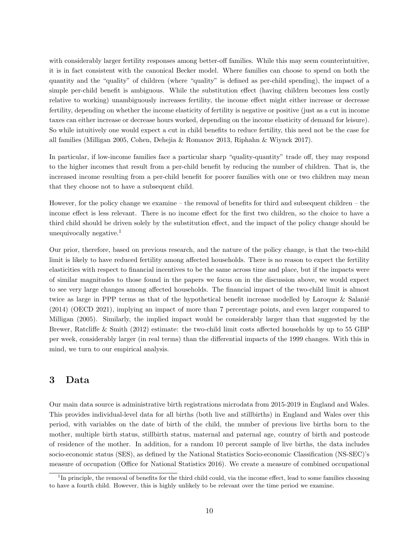with considerably larger fertility responses among better-off families. While this may seem counterintuitive, it is in fact consistent with the canonical Becker model. Where families can choose to spend on both the quantity and the "quality" of children (where "quality" is defined as per-child spending), the impact of a simple per-child benefit is ambiguous. While the substitution effect (having children becomes less costly relative to working) unambiguously increases fertility, the income effect might either increase or decrease fertility, depending on whether the income elasticity of fertility is negative or positive (just as a cut in income taxes can either increase or decrease hours worked, depending on the income elasticity of demand for leisure). So while intuitively one would expect a cut in child benefits to reduce fertility, this need not be the case for all families (Milligan 2005, Cohen, Dehejia & Romanov 2013, Riphahn & Wiynck 2017).

In particular, if low-income families face a particular sharp "quality-quantity" trade off, they may respond to the higher incomes that result from a per-child benefit by reducing the number of children. That is, the increased income resulting from a per-child benefit for poorer families with one or two children may mean that they choose not to have a subsequent child.

However, for the policy change we examine – the removal of benefits for third and subsequent children – the income effect is less relevant. There is no income effect for the first two children, so the choice to have a third child should be driven solely by the substitution effect, and the impact of the policy change should be unequivocally negative. $<sup>1</sup>$ </sup>

Our prior, therefore, based on previous research, and the nature of the policy change, is that the two-child limit is likely to have reduced fertility among affected households. There is no reason to expect the fertility elasticities with respect to financial incentives to be the same across time and place, but if the impacts were of similar magnitudes to those found in the papers we focus on in the discussion above, we would expect to see very large changes among affected households. The financial impact of the two-child limit is almost twice as large in PPP terms as that of the hypothetical benefit increase modelled by Laroque & Salanié (2014) (OECD 2021), implying an impact of more than 7 percentage points, and even larger compared to Milligan (2005). Similarly, the implied impact would be considerably larger than that suggested by the Brewer, Ratcliffe & Smith (2012) estimate: the two-child limit costs affected households by up to 55 GBP per week, considerably larger (in real terms) than the differential impacts of the 1999 changes. With this in mind, we turn to our empirical analysis.

#### 3 Data

Our main data source is administrative birth registrations microdata from 2015-2019 in England and Wales. This provides individual-level data for all births (both live and stillbirths) in England and Wales over this period, with variables on the date of birth of the child, the number of previous live births born to the mother, multiple birth status, stillbirth status, maternal and paternal age, country of birth and postcode of residence of the mother. In addition, for a random 10 percent sample of live births, the data includes socio-economic status (SES), as defined by the National Statistics Socio-economic Classification (NS-SEC)'s measure of occupation (Office for National Statistics 2016). We create a measure of combined occupational

<sup>&</sup>lt;sup>1</sup>In principle, the removal of benefits for the third child could, via the income effect, lead to some families choosing to have a fourth child. However, this is highly unlikely to be relevant over the time period we examine.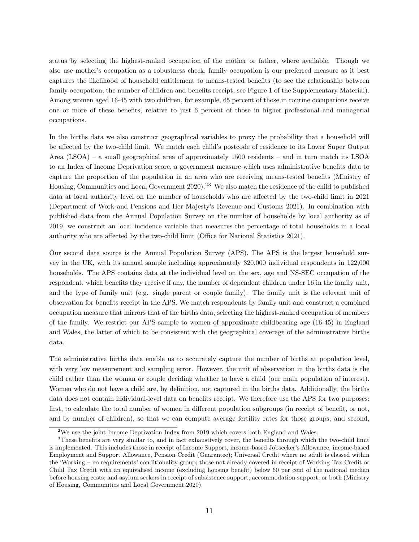status by selecting the highest-ranked occupation of the mother or father, where available. Though we also use mother's occupation as a robustness check, family occupation is our preferred measure as it best captures the likelihood of household entitlement to means-tested benefits (to see the relationship between family occupation, the number of children and benefits receipt, see Figure 1 of the Supplementary Material). Among women aged 16-45 with two children, for example, 65 percent of those in routine occupations receive one or more of these benefits, relative to just 6 percent of those in higher professional and managerial occupations.

In the births data we also construct geographical variables to proxy the probability that a household will be affected by the two-child limit. We match each child's postcode of residence to its Lower Super Output Area (LSOA) – a small geographical area of approximately 1500 residents – and in turn match its LSOA to an Index of Income Deprivation score, a government measure which uses administrative benefits data to capture the proportion of the population in an area who are receiving means-tested benefits (Ministry of Housing, Communities and Local Government  $2020$ .<sup>23</sup> We also match the residence of the child to published data at local authority level on the number of households who are affected by the two-child limit in 2021 (Department of Work and Pensions and Her Majesty's Revenue and Customs 2021). In combination with published data from the Annual Population Survey on the number of households by local authority as of 2019, we construct an local incidence variable that measures the percentage of total households in a local authority who are affected by the two-child limit (Office for National Statistics 2021).

Our second data source is the Annual Population Survey (APS). The APS is the largest household survey in the UK, with its annual sample including approximately 320,000 individual respondents in 122,000 households. The APS contains data at the individual level on the sex, age and NS-SEC occupation of the respondent, which benefits they receive if any, the number of dependent children under 16 in the family unit, and the type of family unit (e.g. single parent or couple family). The family unit is the relevant unit of observation for benefits receipt in the APS. We match respondents by family unit and construct a combined occupation measure that mirrors that of the births data, selecting the highest-ranked occupation of members of the family. We restrict our APS sample to women of approximate childbearing age (16-45) in England and Wales, the latter of which to be consistent with the geographical coverage of the administrative births data.

The administrative births data enable us to accurately capture the number of births at population level, with very low measurement and sampling error. However, the unit of observation in the births data is the child rather than the woman or couple deciding whether to have a child (our main population of interest). Women who do not have a child are, by definition, not captured in the births data. Additionally, the births data does not contain individual-level data on benefits receipt. We therefore use the APS for two purposes: first, to calculate the total number of women in different population subgroups (in receipt of benefit, or not, and by number of children), so that we can compute average fertility rates for those groups; and second,

<sup>2</sup>We use the joint Income Deprivation Index from 2019 which covers both England and Wales.

<sup>&</sup>lt;sup>3</sup>These benefits are very similar to, and in fact exhaustively cover, the benefits through which the two-child limit is implemented. This includes those in receipt of Income Support, income-based Jobseeker's Allowance, income-based Employment and Support Allowance, Pension Credit (Guarantee); Universal Credit where no adult is classed within the 'Working – no requirements' conditionality group; those not already covered in receipt of Working Tax Credit or Child Tax Credit with an equivalised income (excluding housing benefit) below 60 per cent of the national median before housing costs; and asylum seekers in receipt of subsistence support, accommodation support, or both (Ministry of Housing, Communities and Local Government 2020).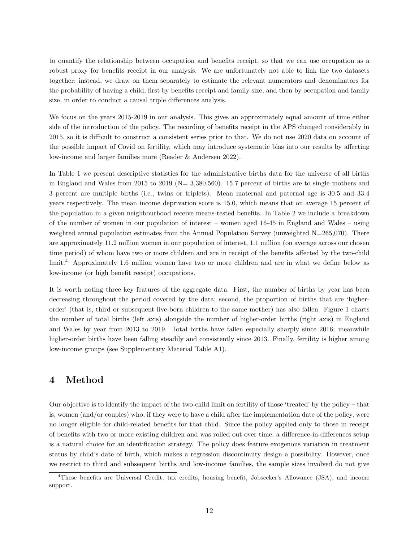to quantify the relationship between occupation and benefits receipt, so that we can use occupation as a robust proxy for benefits receipt in our analysis. We are unfortunately not able to link the two datasets together; instead, we draw on them separately to estimate the relevant numerators and denominators for the probability of having a child, first by benefits receipt and family size, and then by occupation and family size, in order to conduct a causal triple differences analysis.

We focus on the years 2015-2019 in our analysis. This gives an approximately equal amount of time either side of the introduction of the policy. The recording of benefits receipt in the APS changed considerably in 2015, so it is difficult to construct a consistent series prior to that. We do not use 2020 data on account of the possible impact of Covid on fertility, which may introduce systematic bias into our results by affecting low-income and larger families more (Reader & Andersen 2022).

In Table 1 we present descriptive statistics for the administrative births data for the universe of all births in England and Wales from 2015 to 2019 (N= 3,380,560). 15.7 percent of births are to single mothers and 3 percent are multiple births (i.e., twins or triplets). Mean maternal and paternal age is 30.5 and 33.4 years respectively. The mean income deprivation score is 15.0, which means that on average 15 percent of the population in a given neighbourhood receive means-tested benefits. In Table 2 we include a breakdown of the number of women in our population of interest – women aged 16-45 in England and Wales – using weighted annual population estimates from the Annual Population Survey (unweighted  $N=265,070$ ). There are approximately 11.2 million women in our population of interest, 1.1 million (on average across our chosen time period) of whom have two or more children and are in receipt of the benefits affected by the two-child limit.<sup>4</sup> Approximately 1.6 million women have two or more children and are in what we define below as low-income (or high benefit receipt) occupations.

It is worth noting three key features of the aggregate data. First, the number of births by year has been decreasing throughout the period covered by the data; second, the proportion of births that are 'higherorder' (that is, third or subsequent live-born children to the same mother) has also fallen. Figure 1 charts the number of total births (left axis) alongside the number of higher-order births (right axis) in England and Wales by year from 2013 to 2019. Total births have fallen especially sharply since 2016; meanwhile higher-order births have been falling steadily and consistently since 2013. Finally, fertility is higher among low-income groups (see Supplementary Material Table A1).

## 4 Method

Our objective is to identify the impact of the two-child limit on fertility of those 'treated' by the policy – that is, women (and/or couples) who, if they were to have a child after the implementation date of the policy, were no longer eligible for child-related benefits for that child. Since the policy applied only to those in receipt of benefits with two or more existing children and was rolled out over time, a difference-in-differences setup is a natural choice for an identification strategy. The policy does feature exogenous variation in treatment status by child's date of birth, which makes a regression discontinuity design a possibility. However, once we restrict to third and subsequent births and low-income families, the sample sizes involved do not give

<sup>4</sup>These benefits are Universal Credit, tax credits, housing benefit, Jobseeker's Allowance (JSA), and income support.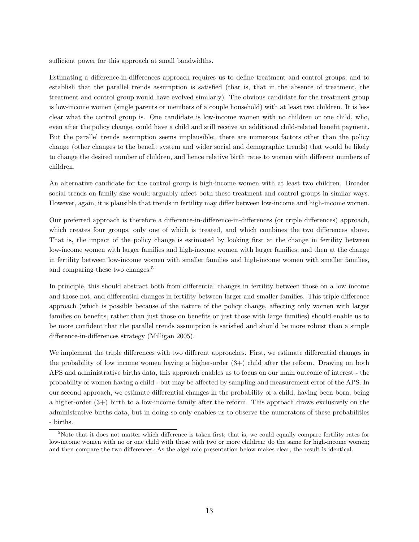sufficient power for this approach at small bandwidths.

Estimating a difference-in-differences approach requires us to define treatment and control groups, and to establish that the parallel trends assumption is satisfied (that is, that in the absence of treatment, the treatment and control group would have evolved similarly). The obvious candidate for the treatment group is low-income women (single parents or members of a couple household) with at least two children. It is less clear what the control group is. One candidate is low-income women with no children or one child, who, even after the policy change, could have a child and still receive an additional child-related benefit payment. But the parallel trends assumption seems implausible: there are numerous factors other than the policy change (other changes to the benefit system and wider social and demographic trends) that would be likely to change the desired number of children, and hence relative birth rates to women with different numbers of children.

An alternative candidate for the control group is high-income women with at least two children. Broader social trends on family size would arguably affect both these treatment and control groups in similar ways. However, again, it is plausible that trends in fertility may differ between low-income and high-income women.

Our preferred approach is therefore a difference-in-difference-in-differences (or triple differences) approach, which creates four groups, only one of which is treated, and which combines the two differences above. That is, the impact of the policy change is estimated by looking first at the change in fertility between low-income women with larger families and high-income women with larger families; and then at the change in fertility between low-income women with smaller families and high-income women with smaller families, and comparing these two changes.<sup>5</sup>

In principle, this should abstract both from differential changes in fertility between those on a low income and those not, and differential changes in fertility between larger and smaller families. This triple difference approach (which is possible because of the nature of the policy change, affecting only women with larger families on benefits, rather than just those on benefits or just those with large families) should enable us to be more confident that the parallel trends assumption is satisfied and should be more robust than a simple difference-in-differences strategy (Milligan 2005).

We implement the triple differences with two different approaches. First, we estimate differential changes in the probability of low income women having a higher-order  $(3+)$  child after the reform. Drawing on both APS and administrative births data, this approach enables us to focus on our main outcome of interest - the probability of women having a child - but may be affected by sampling and measurement error of the APS. In our second approach, we estimate differential changes in the probability of a child, having been born, being a higher-order (3+) birth to a low-income family after the reform. This approach draws exclusively on the administrative births data, but in doing so only enables us to observe the numerators of these probabilities - births.

<sup>5</sup>Note that it does not matter which difference is taken first; that is, we could equally compare fertility rates for low-income women with no or one child with those with two or more children; do the same for high-income women; and then compare the two differences. As the algebraic presentation below makes clear, the result is identical.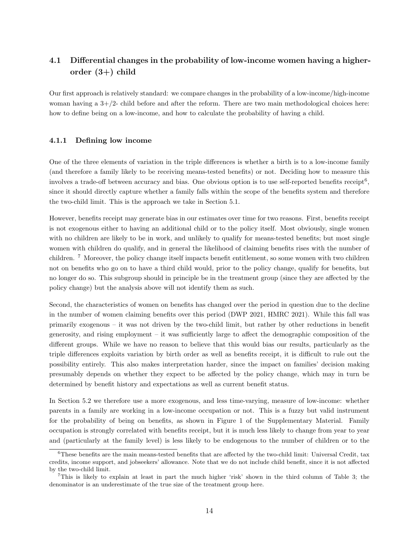## 4.1 Differential changes in the probability of low-income women having a higherorder  $(3+)$  child

Our first approach is relatively standard: we compare changes in the probability of a low-income/high-income woman having a  $3+/2$ - child before and after the reform. There are two main methodological choices here: how to define being on a low-income, and how to calculate the probability of having a child.

#### 4.1.1 Defining low income

One of the three elements of variation in the triple differences is whether a birth is to a low-income family (and therefore a family likely to be receiving means-tested benefits) or not. Deciding how to measure this involves a trade-off between accuracy and bias. One obvious option is to use self-reported benefits receipt<sup>6</sup>, since it should directly capture whether a family falls within the scope of the benefits system and therefore the two-child limit. This is the approach we take in Section 5.1.

However, benefits receipt may generate bias in our estimates over time for two reasons. First, benefits receipt is not exogenous either to having an additional child or to the policy itself. Most obviously, single women with no children are likely to be in work, and unlikely to qualify for means-tested benefits; but most single women with children do qualify, and in general the likelihood of claiming benefits rises with the number of children. <sup>7</sup> Moreover, the policy change itself impacts benefit entitlement, so some women with two children not on benefits who go on to have a third child would, prior to the policy change, qualify for benefits, but no longer do so. This subgroup should in principle be in the treatment group (since they are affected by the policy change) but the analysis above will not identify them as such.

Second, the characteristics of women on benefits has changed over the period in question due to the decline in the number of women claiming benefits over this period (DWP 2021, HMRC 2021). While this fall was primarily exogenous – it was not driven by the two-child limit, but rather by other reductions in benefit generosity, and rising employment – it was sufficiently large to affect the demographic composition of the different groups. While we have no reason to believe that this would bias our results, particularly as the triple differences exploits variation by birth order as well as benefits receipt, it is difficult to rule out the possibility entirely. This also makes interpretation harder, since the impact on families' decision making presumably depends on whether they expect to be affected by the policy change, which may in turn be determined by benefit history and expectations as well as current benefit status.

In Section 5.2 we therefore use a more exogenous, and less time-varying, measure of low-income: whether parents in a family are working in a low-income occupation or not. This is a fuzzy but valid instrument for the probability of being on benefits, as shown in Figure 1 of the Supplementary Material. Family occupation is strongly correlated with benefits receipt, but it is much less likely to change from year to year and (particularly at the family level) is less likely to be endogenous to the number of children or to the

 $6$ These benefits are the main means-tested benefits that are affected by the two-child limit: Universal Credit, tax credits, income support, and jobseekers' allowance. Note that we do not include child benefit, since it is not affected by the two-child limit.

<sup>7</sup>This is likely to explain at least in part the much higher 'risk' shown in the third column of Table 3; the denominator is an underestimate of the true size of the treatment group here.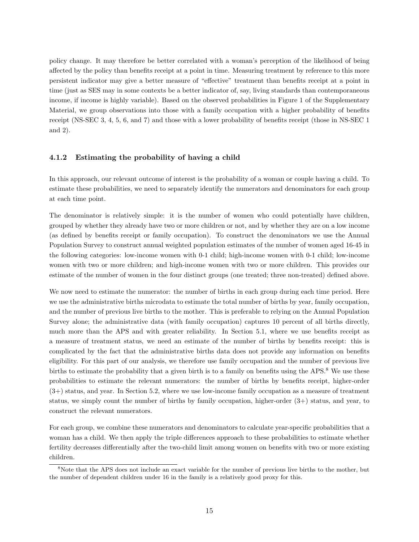policy change. It may therefore be better correlated with a woman's perception of the likelihood of being affected by the policy than benefits receipt at a point in time. Measuring treatment by reference to this more persistent indicator may give a better measure of "effective" treatment than benefits receipt at a point in time (just as SES may in some contexts be a better indicator of, say, living standards than contemporaneous income, if income is highly variable). Based on the observed probabilities in Figure 1 of the Supplementary Material, we group observations into those with a family occupation with a higher probability of benefits receipt (NS-SEC 3, 4, 5, 6, and 7) and those with a lower probability of benefits receipt (those in NS-SEC 1 and 2).

#### 4.1.2 Estimating the probability of having a child

In this approach, our relevant outcome of interest is the probability of a woman or couple having a child. To estimate these probabilities, we need to separately identify the numerators and denominators for each group at each time point.

The denominator is relatively simple: it is the number of women who could potentially have children, grouped by whether they already have two or more children or not, and by whether they are on a low income (as defined by benefits receipt or family occupation). To construct the denominators we use the Annual Population Survey to construct annual weighted population estimates of the number of women aged 16-45 in the following categories: low-income women with 0-1 child; high-income women with 0-1 child; low-income women with two or more children; and high-income women with two or more children. This provides our estimate of the number of women in the four distinct groups (one treated; three non-treated) defined above.

We now need to estimate the numerator: the number of births in each group during each time period. Here we use the administrative births microdata to estimate the total number of births by year, family occupation, and the number of previous live births to the mother. This is preferable to relying on the Annual Population Survey alone; the administrative data (with family occupation) captures 10 percent of all births directly, much more than the APS and with greater reliability. In Section 5.1, where we use benefits receipt as a measure of treatment status, we need an estimate of the number of births by benefits receipt: this is complicated by the fact that the administrative births data does not provide any information on benefits eligibility. For this part of our analysis, we therefore use family occupation and the number of previous live births to estimate the probability that a given birth is to a family on benefits using the APS.<sup>8</sup> We use these probabilities to estimate the relevant numerators: the number of births by benefits receipt, higher-order (3+) status, and year. In Section 5.2, where we use low-income family occupation as a measure of treatment status, we simply count the number of births by family occupation, higher-order (3+) status, and year, to construct the relevant numerators.

For each group, we combine these numerators and denominators to calculate year-specific probabilities that a woman has a child. We then apply the triple differences approach to these probabilities to estimate whether fertility decreases differentially after the two-child limit among women on benefits with two or more existing children.

<sup>8</sup>Note that the APS does not include an exact variable for the number of previous live births to the mother, but the number of dependent children under 16 in the family is a relatively good proxy for this.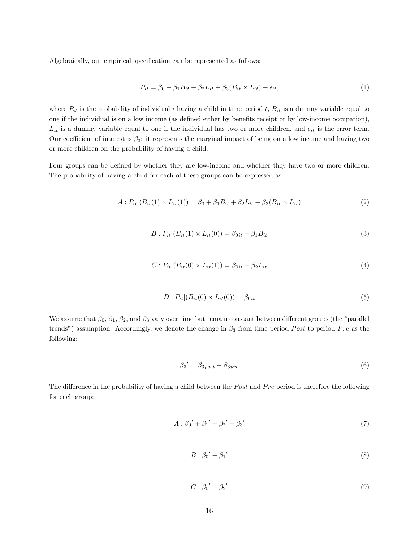Algebraically, our empirical specification can be represented as follows:

$$
P_{it} = \beta_0 + \beta_1 B_{it} + \beta_2 L_{it} + \beta_3 (B_{it} \times L_{it}) + \epsilon_{it},\tag{1}
$$

where  $P_{it}$  is the probability of individual i having a child in time period t,  $B_{it}$  is a dummy variable equal to one if the individual is on a low income (as defined either by benefits receipt or by low-income occupation),  $L_{it}$  is a dummy variable equal to one if the individual has two or more children, and  $\epsilon_{it}$  is the error term. Our coefficient of interest is  $\beta_3$ : it represents the marginal impact of being on a low income and having two or more children on the probability of having a child.

Four groups can be defined by whether they are low-income and whether they have two or more children. The probability of having a child for each of these groups can be expressed as:

$$
A: P_{it}|(B_{it}(1) \times L_{it}(1)) = \beta_0 + \beta_1 B_{it} + \beta_2 L_{it} + \beta_3 (B_{it} \times L_{it})
$$
\n(2)

$$
B: P_{it}|(B_{it}(1) \times L_{it}(0)) = \beta_{0it} + \beta_1 B_{it}
$$
\n(3)

$$
C: P_{it} | (B_{it}(0) \times L_{it}(1)) = \beta_{0it} + \beta_2 L_{it}
$$
\n(4)

$$
D: P_{it} | (B_{it}(0) \times L_{it}(0)) = \beta_{0it} \tag{5}
$$

We assume that  $\beta_0$ ,  $\beta_1$ ,  $\beta_2$ , and  $\beta_3$  vary over time but remain constant between different groups (the "parallel") trends") assumption. Accordingly, we denote the change in  $\beta_3$  from time period Post to period Pre as the following:

$$
\beta_3' = \beta_{3post} - \beta_{3pre} \tag{6}
$$

The difference in the probability of having a child between the Post and P re period is therefore the following for each group:

$$
A: \beta_0' + {\beta_1}' + {\beta_2}' + {\beta_3}' \tag{7}
$$

$$
B: \beta_0' + \beta_1'
$$
 (8)

$$
C: \beta_0' + \beta_2'
$$
 (9)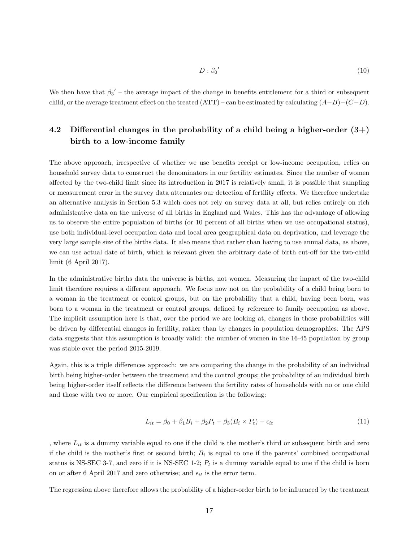$$
D: \beta_0'
$$
 (10)

We then have that  $\beta_3'$  – the average impact of the change in benefits entitlement for a third or subsequent child, or the average treatment effect on the treated  $(ATT)$  – can be estimated by calculating  $(A-B)-(C-D)$ .

## 4.2 Differential changes in the probability of a child being a higher-order  $(3+)$ birth to a low-income family

The above approach, irrespective of whether we use benefits receipt or low-income occupation, relies on household survey data to construct the denominators in our fertility estimates. Since the number of women affected by the two-child limit since its introduction in 2017 is relatively small, it is possible that sampling or measurement error in the survey data attenuates our detection of fertility effects. We therefore undertake an alternative analysis in Section 5.3 which does not rely on survey data at all, but relies entirely on rich administrative data on the universe of all births in England and Wales. This has the advantage of allowing us to observe the entire population of births (or 10 percent of all births when we use occupational status), use both individual-level occupation data and local area geographical data on deprivation, and leverage the very large sample size of the births data. It also means that rather than having to use annual data, as above, we can use actual date of birth, which is relevant given the arbitrary date of birth cut-off for the two-child limit (6 April 2017).

In the administrative births data the universe is births, not women. Measuring the impact of the two-child limit therefore requires a different approach. We focus now not on the probability of a child being born to a woman in the treatment or control groups, but on the probability that a child, having been born, was born to a woman in the treatment or control groups, defined by reference to family occupation as above. The implicit assumption here is that, over the period we are looking at, changes in these probabilities will be driven by differential changes in fertility, rather than by changes in population demographics. The APS data suggests that this assumption is broadly valid: the number of women in the 16-45 population by group was stable over the period 2015-2019.

Again, this is a triple differences approach: we are comparing the change in the probability of an individual birth being higher-order between the treatment and the control groups; the probability of an individual birth being higher-order itself reflects the difference between the fertility rates of households with no or one child and those with two or more. Our empirical specification is the following:

$$
L_{it} = \beta_0 + \beta_1 B_i + \beta_2 P_t + \beta_3 (B_i \times P_t) + \epsilon_{it}
$$
\n
$$
\tag{11}
$$

, where  $L_{it}$  is a dummy variable equal to one if the child is the mother's third or subsequent birth and zero if the child is the mother's first or second birth;  $B<sub>i</sub>$  is equal to one if the parents' combined occupational status is NS-SEC 3-7, and zero if it is NS-SEC 1-2;  $P_t$  is a dummy variable equal to one if the child is born on or after 6 April 2017 and zero otherwise; and  $\epsilon_{it}$  is the error term.

The regression above therefore allows the probability of a higher-order birth to be influenced by the treatment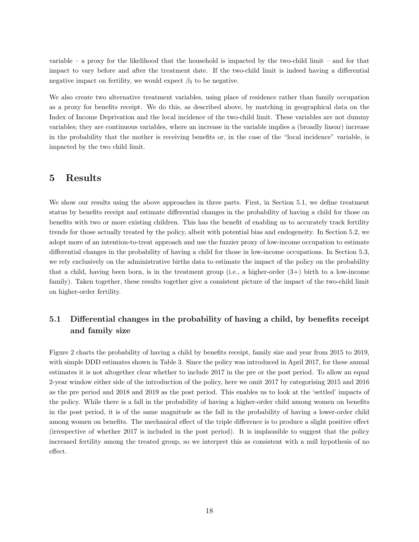variable – a proxy for the likelihood that the household is impacted by the two-child limit – and for that impact to vary before and after the treatment date. If the two-child limit is indeed having a differential negative impact on fertility, we would expect  $\beta_3$  to be negative.

We also create two alternative treatment variables, using place of residence rather than family occupation as a proxy for benefits receipt. We do this, as described above, by matching in geographical data on the Index of Income Deprivation and the local incidence of the two-child limit. These variables are not dummy variables; they are continuous variables, where an increase in the variable implies a (broadly linear) increase in the probability that the mother is receiving benefits or, in the case of the "local incidence" variable, is impacted by the two child limit.

#### 5 Results

We show our results using the above approaches in three parts. First, in Section 5.1, we define treatment status by benefits receipt and estimate differential changes in the probability of having a child for those on benefits with two or more existing children. This has the benefit of enabling us to accurately track fertility trends for those actually treated by the policy, albeit with potential bias and endogeneity. In Section 5.2, we adopt more of an intention-to-treat approach and use the fuzzier proxy of low-income occupation to estimate differential changes in the probability of having a child for those in low-income occupations. In Section 5.3, we rely exclusively on the administrative births data to estimate the impact of the policy on the probability that a child, having been born, is in the treatment group (i.e., a higher-order  $(3+)$  birth to a low-income family). Taken together, these results together give a consistent picture of the impact of the two-child limit on higher-order fertility.

## 5.1 Differential changes in the probability of having a child, by benefits receipt and family size

Figure 2 charts the probability of having a child by benefits receipt, family size and year from 2015 to 2019, with simple DDD estimates shown in Table 3. Since the policy was introduced in April 2017, for these annual estimates it is not altogether clear whether to include 2017 in the pre or the post period. To allow an equal 2-year window either side of the introduction of the policy, here we omit 2017 by categorising 2015 and 2016 as the pre period and 2018 and 2019 as the post period. This enables us to look at the 'settled' impacts of the policy. While there is a fall in the probability of having a higher-order child among women on benefits in the post period, it is of the same magnitude as the fall in the probability of having a lower-order child among women on benefits. The mechanical effect of the triple difference is to produce a slight positive effect (irrespective of whether 2017 is included in the post period). It is implausible to suggest that the policy increased fertility among the treated group, so we interpret this as consistent with a null hypothesis of no effect.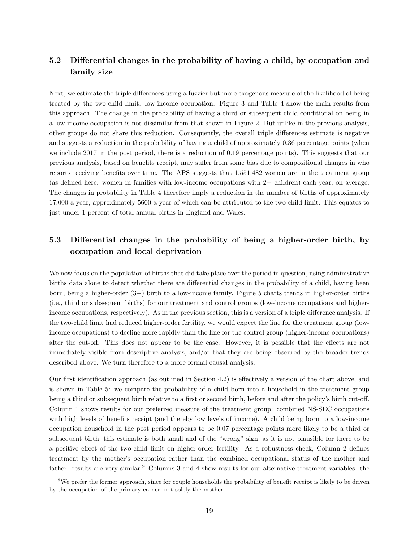### 5.2 Differential changes in the probability of having a child, by occupation and family size

Next, we estimate the triple differences using a fuzzier but more exogenous measure of the likelihood of being treated by the two-child limit: low-income occupation. Figure 3 and Table 4 show the main results from this approach. The change in the probability of having a third or subsequent child conditional on being in a low-income occupation is not dissimilar from that shown in Figure 2. But unlike in the previous analysis, other groups do not share this reduction. Consequently, the overall triple differences estimate is negative and suggests a reduction in the probability of having a child of approximately 0.36 percentage points (when we include 2017 in the post period, there is a reduction of 0.19 percentage points). This suggests that our previous analysis, based on benefits receipt, may suffer from some bias due to compositional changes in who reports receiving benefits over time. The APS suggests that 1,551,482 women are in the treatment group (as defined here: women in families with low-income occupations with 2+ children) each year, on average. The changes in probability in Table 4 therefore imply a reduction in the number of births of approximately 17,000 a year, approximately 5600 a year of which can be attributed to the two-child limit. This equates to just under 1 percent of total annual births in England and Wales.

## 5.3 Differential changes in the probability of being a higher-order birth, by occupation and local deprivation

We now focus on the population of births that did take place over the period in question, using administrative births data alone to detect whether there are differential changes in the probability of a child, having been born, being a higher-order (3+) birth to a low-income family. Figure 5 charts trends in higher-order births (i.e., third or subsequent births) for our treatment and control groups (low-income occupations and higherincome occupations, respectively). As in the previous section, this is a version of a triple difference analysis. If the two-child limit had reduced higher-order fertility, we would expect the line for the treatment group (lowincome occupations) to decline more rapidly than the line for the control group (higher-income occupations) after the cut-off. This does not appear to be the case. However, it is possible that the effects are not immediately visible from descriptive analysis, and/or that they are being obscured by the broader trends described above. We turn therefore to a more formal causal analysis.

Our first identification approach (as outlined in Section 4.2) is effectively a version of the chart above, and is shown in Table 5: we compare the probability of a child born into a household in the treatment group being a third or subsequent birth relative to a first or second birth, before and after the policy's birth cut-off. Column 1 shows results for our preferred measure of the treatment group: combined NS-SEC occupations with high levels of benefits receipt (and thereby low levels of income). A child being born to a low-income occupation household in the post period appears to be 0.07 percentage points more likely to be a third or subsequent birth; this estimate is both small and of the "wrong" sign, as it is not plausible for there to be a positive effect of the two-child limit on higher-order fertility. As a robustness check, Column 2 defines treatment by the mother's occupation rather than the combined occupational status of the mother and father: results are very similar.<sup>9</sup> Columns 3 and 4 show results for our alternative treatment variables: the

 $9$ We prefer the former approach, since for couple households the probability of benefit receipt is likely to be driven by the occupation of the primary earner, not solely the mother.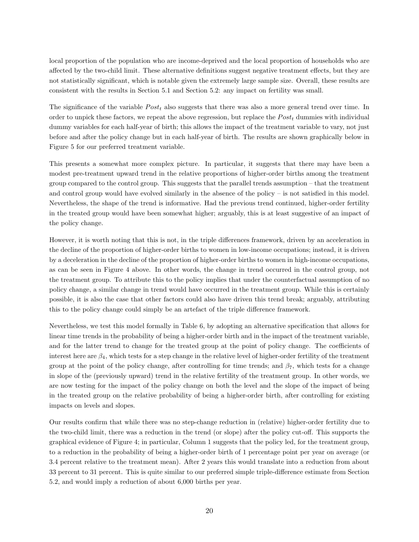local proportion of the population who are income-deprived and the local proportion of households who are affected by the two-child limit. These alternative definitions suggest negative treatment effects, but they are not statistically significant, which is notable given the extremely large sample size. Overall, these results are consistent with the results in Section 5.1 and Section 5.2: any impact on fertility was small.

The significance of the variable  $Post<sub>t</sub>$  also suggests that there was also a more general trend over time. In order to unpick these factors, we repeat the above regression, but replace the  $Post<sub>t</sub>$  dummies with individual dummy variables for each half-year of birth; this allows the impact of the treatment variable to vary, not just before and after the policy change but in each half-year of birth. The results are shown graphically below in Figure 5 for our preferred treatment variable.

This presents a somewhat more complex picture. In particular, it suggests that there may have been a modest pre-treatment upward trend in the relative proportions of higher-order births among the treatment group compared to the control group. This suggests that the parallel trends assumption – that the treatment and control group would have evolved similarly in the absence of the policy – is not satisfied in this model. Nevertheless, the shape of the trend is informative. Had the previous trend continued, higher-order fertility in the treated group would have been somewhat higher; arguably, this is at least suggestive of an impact of the policy change.

However, it is worth noting that this is not, in the triple differences framework, driven by an acceleration in the decline of the proportion of higher-order births to women in low-income occupations; instead, it is driven by a deceleration in the decline of the proportion of higher-order births to women in high-income occupations, as can be seen in Figure 4 above. In other words, the change in trend occurred in the control group, not the treatment group. To attribute this to the policy implies that under the counterfactual assumption of no policy change, a similar change in trend would have occurred in the treatment group. While this is certainly possible, it is also the case that other factors could also have driven this trend break; arguably, attributing this to the policy change could simply be an artefact of the triple difference framework.

Nevertheless, we test this model formally in Table 6, by adopting an alternative specification that allows for linear time trends in the probability of being a higher-order birth and in the impact of the treatment variable, and for the latter trend to change for the treated group at the point of policy change. The coefficients of interest here are  $\beta_4$ , which tests for a step change in the relative level of higher-order fertility of the treatment group at the point of the policy change, after controlling for time trends; and  $\beta_7$ , which tests for a change in slope of the (previously upward) trend in the relative fertility of the treatment group. In other words, we are now testing for the impact of the policy change on both the level and the slope of the impact of being in the treated group on the relative probability of being a higher-order birth, after controlling for existing impacts on levels and slopes.

Our results confirm that while there was no step-change reduction in (relative) higher-order fertility due to the two-child limit, there was a reduction in the trend (or slope) after the policy cut-off. This supports the graphical evidence of Figure 4; in particular, Column 1 suggests that the policy led, for the treatment group, to a reduction in the probability of being a higher-order birth of 1 percentage point per year on average (or 3.4 percent relative to the treatment mean). After 2 years this would translate into a reduction from about 33 percent to 31 percent. This is quite similar to our preferred simple triple-difference estimate from Section 5.2, and would imply a reduction of about 6,000 births per year.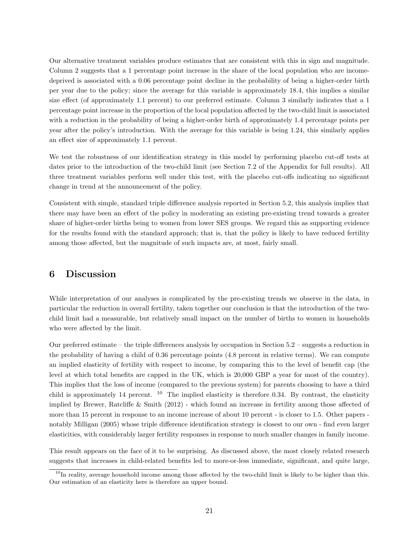Our alternative treatment variables produce estimates that are consistent with this in sign and magnitude. Column 2 suggests that a 1 percentage point increase in the share of the local population who are incomedeprived is associated with a 0.06 percentage point decline in the probability of being a higher-order birth per year due to the policy; since the average for this variable is approximately 18.4, this implies a similar size effect (of approximately 1.1 percent) to our preferred estimate. Column 3 similarly indicates that a 1 percentage point increase in the proportion of the local population affected by the two-child limit is associated with a reduction in the probability of being a higher-order birth of approximately 1.4 percentage points per year after the policy's introduction. With the average for this variable is being 1.24, this similarly applies an effect size of approximately 1.1 percent.

We test the robustness of our identification strategy in this model by performing placebo cut-off tests at dates prior to the introduction of the two-child limit (see Section 7.2 of the Appendix for full results). All three treatment variables perform well under this test, with the placebo cut-offs indicating no significant change in trend at the announcement of the policy.

Consistent with simple, standard triple difference analysis reported in Section 5.2, this analysis implies that there may have been an effect of the policy in moderating an existing pre-existing trend towards a greater share of higher-order births being to women from lower SES groups. We regard this as supporting evidence for the results found with the standard approach; that is, that the policy is likely to have reduced fertility among those affected, but the magnitude of such impacts are, at most, fairly small.

#### 6 Discussion

While interpretation of our analyses is complicated by the pre-existing trends we observe in the data, in particular the reduction in overall fertility, taken together our conclusion is that the introduction of the twochild limit had a measurable, but relatively small impact on the number of births to women in households who were affected by the limit.

Our preferred estimate – the triple differences analysis by occupation in Section 5.2 – suggests a reduction in the probability of having a child of 0.36 percentage points (4.8 percent in relative terms). We can compute an implied elasticity of fertility with respect to income, by comparing this to the level of benefit cap (the level at which total benefits are capped in the UK, which is 20,000 GBP a year for most of the country). This implies that the loss of income (compared to the previous system) for parents choosing to have a third child is approximately 14 percent.  $^{10}$  The implied elasticity is therefore 0.34. By contrast, the elasticity implied by Brewer, Ratcliffe & Smith (2012) - which found an increase in fertility among those affected of more than 15 percent in response to an income increase of about 10 percent - is closer to 1.5. Other papers notably Milligan (2005) whose triple difference identification strategy is closest to our own - find even larger elasticities, with considerably larger fertility responses in response to much smaller changes in family income.

This result appears on the face of it to be surprising. As discussed above, the most closely related research suggests that increases in child-related benefits led to more-or-less immediate, significant, and quite large,

 $10$ In reality, average household income among those affected by the two-child limit is likely to be higher than this. Our estimation of an elasticity here is therefore an upper bound.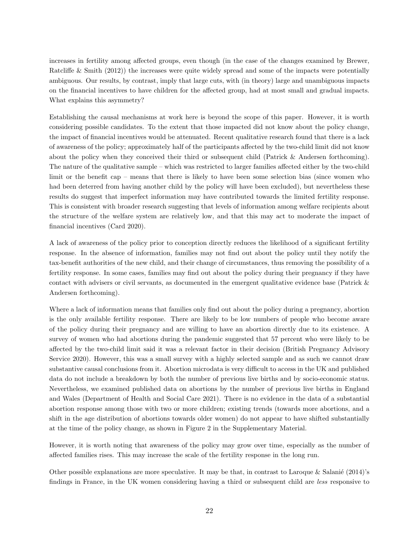increases in fertility among affected groups, even though (in the case of the changes examined by Brewer, Ratcliffe & Smith (2012)) the increases were quite widely spread and some of the impacts were potentially ambiguous. Our results, by contrast, imply that large cuts, with (in theory) large and unambiguous impacts on the financial incentives to have children for the affected group, had at most small and gradual impacts. What explains this asymmetry?

Establishing the causal mechanisms at work here is beyond the scope of this paper. However, it is worth considering possible candidates. To the extent that those impacted did not know about the policy change, the impact of financial incentives would be attenuated. Recent qualitative research found that there is a lack of awareness of the policy; approximately half of the participants affected by the two-child limit did not know about the policy when they conceived their third or subsequent child (Patrick & Andersen forthcoming). The nature of the qualitative sample – which was restricted to larger families affected either by the two-child limit or the benefit cap – means that there is likely to have been some selection bias (since women who had been deterred from having another child by the policy will have been excluded), but nevertheless these results do suggest that imperfect information may have contributed towards the limited fertility response. This is consistent with broader research suggesting that levels of information among welfare recipients about the structure of the welfare system are relatively low, and that this may act to moderate the impact of financial incentives (Card 2020).

A lack of awareness of the policy prior to conception directly reduces the likelihood of a significant fertility response. In the absence of information, families may not find out about the policy until they notify the tax-benefit authorities of the new child, and their change of circumstances, thus removing the possibility of a fertility response. In some cases, families may find out about the policy during their pregnancy if they have contact with advisers or civil servants, as documented in the emergent qualitative evidence base (Patrick & Andersen forthcoming).

Where a lack of information means that families only find out about the policy during a pregnancy, abortion is the only available fertility response. There are likely to be low numbers of people who become aware of the policy during their pregnancy and are willing to have an abortion directly due to its existence. A survey of women who had abortions during the pandemic suggested that 57 percent who were likely to be affected by the two-child limit said it was a relevant factor in their decision (British Pregnancy Advisory Service 2020). However, this was a small survey with a highly selected sample and as such we cannot draw substantive causal conclusions from it. Abortion microdata is very difficult to access in the UK and published data do not include a breakdown by both the number of previous live births and by socio-economic status. Nevertheless, we examined published data on abortions by the number of previous live births in England and Wales (Department of Health and Social Care 2021). There is no evidence in the data of a substantial abortion response among those with two or more children; existing trends (towards more abortions, and a shift in the age distribution of abortions towards older women) do not appear to have shifted substantially at the time of the policy change, as shown in Figure 2 in the Supplementary Material.

However, it is worth noting that awareness of the policy may grow over time, especially as the number of affected families rises. This may increase the scale of the fertility response in the long run.

Other possible explanations are more speculative. It may be that, in contrast to Laroque & Salanié (2014)'s findings in France, in the UK women considering having a third or subsequent child are less responsive to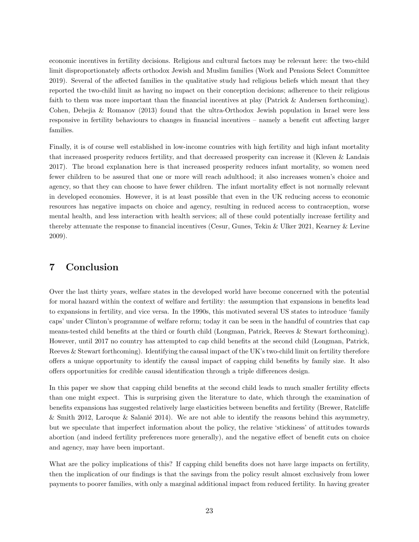economic incentives in fertility decisions. Religious and cultural factors may be relevant here: the two-child limit disproportionately affects orthodox Jewish and Muslim families (Work and Pensions Select Committee 2019). Several of the affected families in the qualitative study had religious beliefs which meant that they reported the two-child limit as having no impact on their conception decisions; adherence to their religious faith to them was more important than the financial incentives at play (Patrick & Andersen forthcoming). Cohen, Dehejia & Romanov (2013) found that the ultra-Orthodox Jewish population in Israel were less responsive in fertility behaviours to changes in financial incentives – namely a benefit cut affecting larger families.

Finally, it is of course well established in low-income countries with high fertility and high infant mortality that increased prosperity reduces fertility, and that decreased prosperity can increase it (Kleven & Landais 2017). The broad explanation here is that increased prosperity reduces infant mortality, so women need fewer children to be assured that one or more will reach adulthood; it also increases women's choice and agency, so that they can choose to have fewer children. The infant mortality effect is not normally relevant in developed economies. However, it is at least possible that even in the UK reducing access to economic resources has negative impacts on choice and agency, resulting in reduced access to contraception, worse mental health, and less interaction with health services; all of these could potentially increase fertility and thereby attenuate the response to financial incentives (Cesur, Gunes, Tekin & Ulker 2021, Kearney & Levine 2009).

#### 7 Conclusion

Over the last thirty years, welfare states in the developed world have become concerned with the potential for moral hazard within the context of welfare and fertility: the assumption that expansions in benefits lead to expansions in fertility, and vice versa. In the 1990s, this motivated several US states to introduce 'family caps' under Clinton's programme of welfare reform; today it can be seen in the handful of countries that cap means-tested child benefits at the third or fourth child (Longman, Patrick, Reeves & Stewart forthcoming). However, until 2017 no country has attempted to cap child benefits at the second child (Longman, Patrick, Reeves & Stewart forthcoming). Identifying the causal impact of the UK's two-child limit on fertility therefore offers a unique opportunity to identify the causal impact of capping child benefits by family size. It also offers opportunities for credible causal identification through a triple differences design.

In this paper we show that capping child benefits at the second child leads to much smaller fertility effects than one might expect. This is surprising given the literature to date, which through the examination of benefits expansions has suggested relatively large elasticities between benefits and fertility (Brewer, Ratcliffe & Smith 2012, Laroque & Salanié 2014). We are not able to identify the reasons behind this asymmetry, but we speculate that imperfect information about the policy, the relative 'stickiness' of attitudes towards abortion (and indeed fertility preferences more generally), and the negative effect of benefit cuts on choice and agency, may have been important.

What are the policy implications of this? If capping child benefits does not have large impacts on fertility, then the implication of our findings is that the savings from the policy result almost exclusively from lower payments to poorer families, with only a marginal additional impact from reduced fertility. In having greater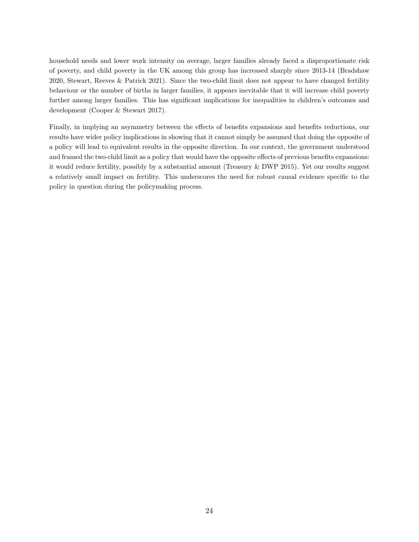household needs and lower work intensity on average, larger families already faced a disproportionate risk of poverty, and child poverty in the UK among this group has increased sharply since 2013-14 (Bradshaw 2020, Stewart, Reeves & Patrick 2021). Since the two-child limit does not appear to have changed fertility behaviour or the number of births in larger families, it appears inevitable that it will increase child poverty further among larger families. This has significant implications for inequalities in children's outcomes and development (Cooper & Stewart 2017).

Finally, in implying an asymmetry between the effects of benefits expansions and benefits reductions, our results have wider policy implications in showing that it cannot simply be assumed that doing the opposite of a policy will lead to equivalent results in the opposite direction. In our context, the government understood and framed the two-child limit as a policy that would have the opposite effects of previous benefits expansions: it would reduce fertility, possibly by a substantial amount (Treasury & DWP 2015). Yet our results suggest a relatively small impact on fertility. This underscores the need for robust causal evidence specific to the policy in question during the policymaking process.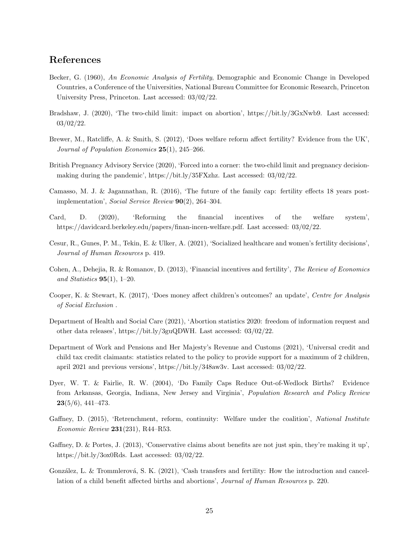## References

- Becker, G. (1960), An Economic Analysis of Fertility, Demographic and Economic Change in Developed Countries, a Conference of the Universities, National Bureau Committee for Economic Research, Princeton University Press, Princeton. Last accessed: 03/02/22.
- Bradshaw, J. (2020), 'The two-child limit: impact on abortion', https://bit.ly/3GxNwb9. Last accessed: 03/02/22.
- Brewer, M., Ratcliffe, A. & Smith, S. (2012), 'Does welfare reform affect fertility? Evidence from the UK', Journal of Population Economics  $25(1)$ ,  $245-266$ .
- British Pregnancy Advisory Service (2020), 'Forced into a corner: the two-child limit and pregnancy decisionmaking during the pandemic', https://bit.ly/35FXzhz. Last accessed: 03/02/22.
- Camasso, M. J. & Jagannathan, R. (2016), 'The future of the family cap: fertility effects 18 years postimplementation', Social Service Review 90(2), 264–304.
- Card, D. (2020), 'Reforming the financial incentives of the welfare system', https://davidcard.berkeley.edu/papers/finan-incen-welfare.pdf. Last accessed: 03/02/22.
- Cesur, R., Gunes, P. M., Tekin, E. & Ulker, A. (2021), 'Socialized healthcare and women's fertility decisions', Journal of Human Resources p. 419.
- Cohen, A., Dehejia, R. & Romanov, D. (2013), 'Financial incentives and fertility', The Review of Economics and Statistics  $95(1)$ , 1–20.
- Cooper, K. & Stewart, K. (2017), 'Does money affect children's outcomes? an update', Centre for Analysis of Social Exclusion .
- Department of Health and Social Care (2021), 'Abortion statistics 2020: freedom of information request and other data releases', https://bit.ly/3guQDWH. Last accessed: 03/02/22.
- Department of Work and Pensions and Her Majesty's Revenue and Customs (2021), 'Universal credit and child tax credit claimants: statistics related to the policy to provide support for a maximum of 2 children, april 2021 and previous versions', https://bit.ly/348aw3v. Last accessed: 03/02/22.
- Dyer, W. T. & Fairlie, R. W. (2004), 'Do Family Caps Reduce Out-of-Wedlock Births? Evidence from Arkansas, Georgia, Indiana, New Jersey and Virginia', Population Research and Policy Review  $23(5/6), 441-473.$
- Gaffney, D. (2015), 'Retrenchment, reform, continuity: Welfare under the coalition', National Institute Economic Review 231(231), R44–R53.
- Gaffney, D. & Portes, J. (2013), 'Conservative claims about benefits are not just spin, they're making it up', https://bit.ly/3ox0Rds. Last accessed: 03/02/22.
- González, L. & Trommlerová, S. K. (2021), 'Cash transfers and fertility: How the introduction and cancellation of a child benefit affected births and abortions', Journal of Human Resources p. 220.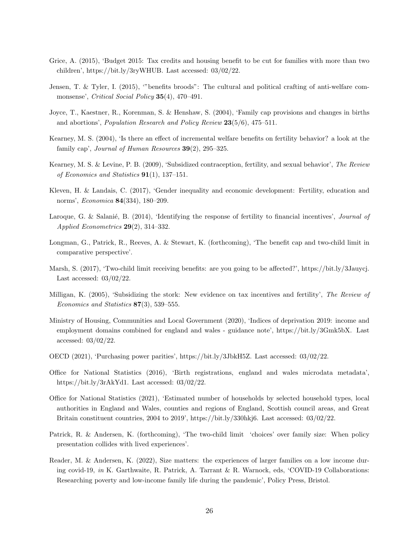- Grice, A. (2015), 'Budget 2015: Tax credits and housing benefit to be cut for families with more than two children', https://bit.ly/3ryWHUB. Last accessed: 03/02/22.
- Jensen, T. & Tyler, I. (2015), '"benefits broods": The cultural and political crafting of anti-welfare commonsense', Critical Social Policy 35(4), 470–491.
- Joyce, T., Kaestner, R., Korenman, S. & Henshaw, S. (2004), 'Family cap provisions and changes in births and abortions', *Population Research and Policy Review*  $23(5/6)$ , 475–511.
- Kearney, M. S. (2004), 'Is there an effect of incremental welfare benefits on fertility behavior? a look at the family cap', Journal of Human Resources 39(2), 295–325.
- Kearney, M. S. & Levine, P. B. (2009), 'Subsidized contraception, fertility, and sexual behavior', The Review of Economics and Statistics 91(1), 137–151.
- Kleven, H. & Landais, C. (2017), 'Gender inequality and economic development: Fertility, education and norms', Economica 84(334), 180–209.
- Laroque, G. & Salanié, B. (2014), 'Identifying the response of fertility to financial incentives', *Journal of* Applied Econometrics  $29(2)$ , 314-332.
- Longman, G., Patrick, R., Reeves, A. & Stewart, K. (forthcoming), 'The benefit cap and two-child limit in comparative perspective'.
- Marsh, S. (2017), 'Two-child limit receiving benefits: are you going to be affected?', https://bit.ly/3Jauycj. Last accessed: 03/02/22.
- Milligan, K. (2005), 'Subsidizing the stork: New evidence on tax incentives and fertility', The Review of Economics and Statistics  $87(3)$ , 539-555.
- Ministry of Housing, Communities and Local Government (2020), 'Indices of deprivation 2019: income and employment domains combined for england and wales - guidance note', https://bit.ly/3Gmk5bX. Last accessed: 03/02/22.
- OECD (2021), 'Purchasing power parities', https://bit.ly/3JbkH5Z. Last accessed: 03/02/22.
- Office for National Statistics (2016), 'Birth registrations, england and wales microdata metadata', https://bit.ly/3rAkYd1. Last accessed: 03/02/22.
- Office for National Statistics (2021), 'Estimated number of households by selected household types, local authorities in England and Wales, counties and regions of England, Scottish council areas, and Great Britain constituent countries, 2004 to 2019', https://bit.ly/330hkj6. Last accessed: 03/02/22.
- Patrick, R. & Andersen, K. (forthcoming), 'The two-child limit 'choices' over family size: When policy presentation collides with lived experiences'.
- Reader, M. & Andersen, K. (2022), Size matters: the experiences of larger families on a low income during covid-19, in K. Garthwaite, R. Patrick, A. Tarrant & R. Warnock, eds, 'COVID-19 Collaborations: Researching poverty and low-income family life during the pandemic', Policy Press, Bristol.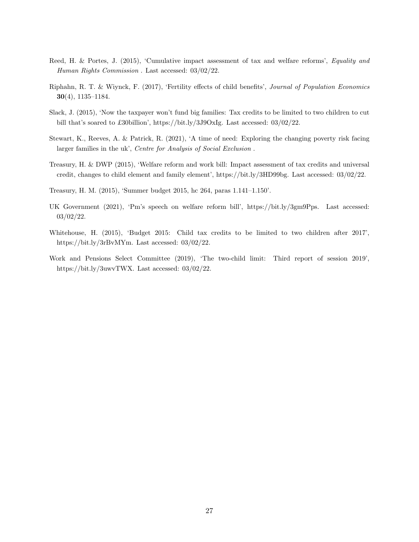- Reed, H. & Portes, J. (2015), 'Cumulative impact assessment of tax and welfare reforms', Equality and Human Rights Commission . Last accessed: 03/02/22.
- Riphahn, R. T. & Wiynck, F. (2017), 'Fertility effects of child benefits', Journal of Population Economics 30(4), 1135–1184.
- Slack, J. (2015), 'Now the taxpayer won't fund big families: Tax credits to be limited to two children to cut bill that's soared to £30billion', https://bit.ly/3J9OxIg. Last accessed: 03/02/22.
- Stewart, K., Reeves, A. & Patrick, R. (2021), 'A time of need: Exploring the changing poverty risk facing larger families in the uk', Centre for Analysis of Social Exclusion .
- Treasury, H. & DWP (2015), 'Welfare reform and work bill: Impact assessment of tax credits and universal credit, changes to child element and family element', https://bit.ly/3HD99bg. Last accessed: 03/02/22.
- Treasury, H. M. (2015), 'Summer budget 2015, hc 264, paras 1.141–1.150'.
- UK Government (2021), 'Pm's speech on welfare reform bill', https://bit.ly/3gm9Pps. Last accessed: 03/02/22.
- Whitehouse, H. (2015), 'Budget 2015: Child tax credits to be limited to two children after 2017', https://bit.ly/3rBvMYm. Last accessed: 03/02/22.
- Work and Pensions Select Committee (2019), 'The two-child limit: Third report of session 2019', https://bit.ly/3uwvTWX. Last accessed: 03/02/22.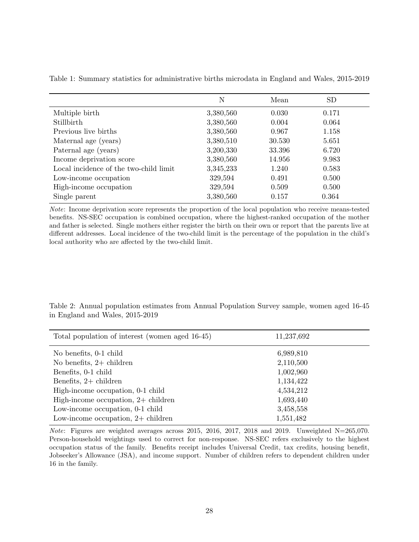|                                        | N         | Mean   | <b>SD</b> |
|----------------------------------------|-----------|--------|-----------|
| Multiple birth                         | 3,380,560 | 0.030  | 0.171     |
| Stillbirth                             | 3,380,560 | 0.004  | 0.064     |
| Previous live births                   | 3,380,560 | 0.967  | 1.158     |
| Maternal age (years)                   | 3,380,510 | 30.530 | 5.651     |
| Paternal age (years)                   | 3,200,330 | 33.396 | 6.720     |
| Income deprivation score               | 3,380,560 | 14.956 | 9.983     |
| Local incidence of the two-child limit | 3,345,233 | 1.240  | 0.583     |
| Low-income occupation                  | 329,594   | 0.491  | 0.500     |
| High-income occupation                 | 329,594   | 0.509  | 0.500     |
| Single parent                          | 3,380,560 | 0.157  | 0.364     |

Table 1: Summary statistics for administrative births microdata in England and Wales, 2015-2019

Note: Income deprivation score represents the proportion of the local population who receive means-tested benefits. NS-SEC occupation is combined occupation, where the highest-ranked occupation of the mother and father is selected. Single mothers either register the birth on their own or report that the parents live at different addresses. Local incidence of the two-child limit is the percentage of the population in the child's local authority who are affected by the two-child limit.

Table 2: Annual population estimates from Annual Population Survey sample, women aged 16-45 in England and Wales, 2015-2019

| Total population of interest (women aged 16-45) | 11,237,692 |  |
|-------------------------------------------------|------------|--|
| No benefits, 0-1 child                          | 6,989,810  |  |
| No benefits, $2+$ children                      | 2,110,500  |  |
| Benefits, 0-1 child                             | 1,002,960  |  |
| Benefits, $2+$ children                         | 1,134,422  |  |
| High-income occupation, 0-1 child               | 4,534,212  |  |
| High-income occupation, $2+$ children           | 1,693,440  |  |
| Low-income occupation, 0-1 child                | 3,458,558  |  |
| Low-income occupation, $2+$ children            | 1,551,482  |  |

Note: Figures are weighted averages across 2015, 2016, 2017, 2018 and 2019. Unweighted N=265,070. Person-household weightings used to correct for non-response. NS-SEC refers exclusively to the highest occupation status of the family. Benefits receipt includes Universal Credit, tax credits, housing benefit, Jobseeker's Allowance (JSA), and income support. Number of children refers to dependent children under 16 in the family.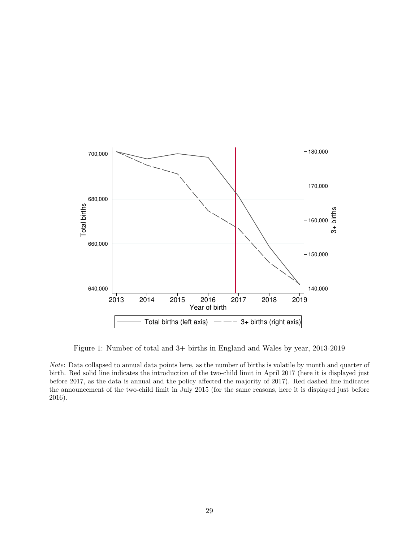

Figure 1: Number of total and 3+ births in England and Wales by year, 2013-2019

Note: Data collapsed to annual data points here, as the number of births is volatile by month and quarter of birth. Red solid line indicates the introduction of the two-child limit in April 2017 (here it is displayed just before 2017, as the data is annual and the policy affected the majority of 2017). Red dashed line indicates the announcement of the two-child limit in July 2015 (for the same reasons, here it is displayed just before 2016).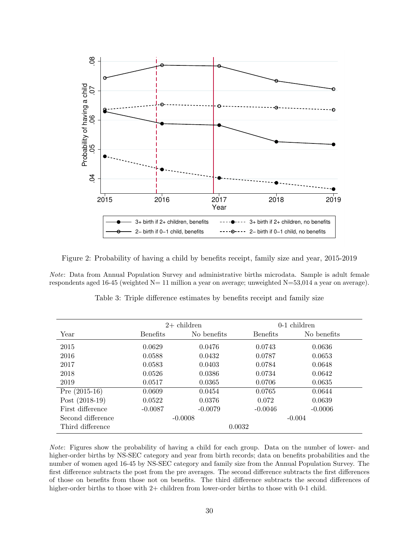

Figure 2: Probability of having a child by benefits receipt, family size and year, 2015-2019

Note: Data from Annual Population Survey and administrative births microdata. Sample is adult female respondents aged 16-45 (weighted N= 11 million a year on average; unweighted N=53,014 a year on average).

|                   | $2+$ children   |             | 0-1 children    |             |
|-------------------|-----------------|-------------|-----------------|-------------|
| Year              | <b>Benefits</b> | No benefits | <b>Benefits</b> | No benefits |
| 2015              | 0.0629          | 0.0476      | 0.0743          | 0.0636      |
| 2016              | 0.0588          | 0.0432      | 0.0787          | 0.0653      |
| 2017              | 0.0583          | 0.0403      | 0.0784          | 0.0648      |
| 2018              | 0.0526          | 0.0386      | 0.0734          | 0.0642      |
| 2019              | 0.0517          | 0.0365      | 0.0706          | 0.0635      |
| Pre $(2015-16)$   | 0.0609          | 0.0454      | 0.0765          | 0.0644      |
| Post $(2018-19)$  | 0.0522          | 0.0376      | 0.072           | 0.0639      |
| First difference  | $-0.0087$       | $-0.0079$   | $-0.0046$       | $-0.0006$   |
| Second difference |                 | $-0.0008$   |                 | $-0.004$    |
| Third difference  |                 | 0.0032      |                 |             |

Table 3: Triple difference estimates by benefits receipt and family size

Note: Figures show the probability of having a child for each group. Data on the number of lower- and higher-order births by NS-SEC category and year from birth records; data on benefits probabilities and the number of women aged 16-45 by NS-SEC category and family size from the Annual Population Survey. The first difference subtracts the post from the pre averages. The second difference subtracts the first differences of those on benefits from those not on benefits. The third difference subtracts the second differences of higher-order births to those with 2+ children from lower-order births to those with 0-1 child.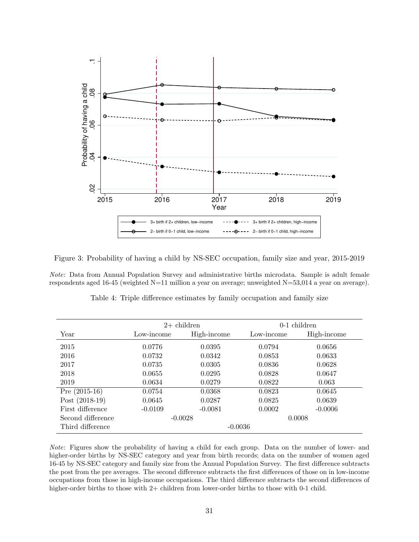

Figure 3: Probability of having a child by NS-SEC occupation, family size and year, 2015-2019

Note: Data from Annual Population Survey and administrative births microdata. Sample is adult female respondents aged 16-45 (weighted N=11 million a year on average; unweighted N=53,014 a year on average).

|                   | $2+$ children |             | $0-1$ children |             |
|-------------------|---------------|-------------|----------------|-------------|
| Year              | Low-income    | High-income | Low-income     | High-income |
| 2015              | 0.0776        | 0.0395      | 0.0794         | 0.0656      |
| 2016              | 0.0732        | 0.0342      | 0.0853         | 0.0633      |
| 2017              | 0.0735        | 0.0305      | 0.0836         | 0.0628      |
| 2018              | 0.0655        | 0.0295      | 0.0828         | 0.0647      |
| 2019              | 0.0634        | 0.0279      | 0.0822         | 0.063       |
| Pre $(2015-16)$   | 0.0754        | 0.0368      | 0.0823         | 0.0645      |
| Post $(2018-19)$  | 0.0645        | 0.0287      | 0.0825         | 0.0639      |
| First difference  | $-0.0109$     | $-0.0081$   | 0.0002         | $-0.0006$   |
| Second difference |               | $-0.0028$   |                | 0.0008      |
| Third difference  |               | $-0.0036$   |                |             |

Table 4: Triple difference estimates by family occupation and family size

Note: Figures show the probability of having a child for each group. Data on the number of lower- and higher-order births by NS-SEC category and year from birth records; data on the number of women aged 16-45 by NS-SEC category and family size from the Annual Population Survey. The first difference subtracts the post from the pre averages. The second difference subtracts the first differences of those on in low-income occupations from those in high-income occupations. The third difference subtracts the second differences of higher-order births to those with 2+ children from lower-order births to those with 0-1 child.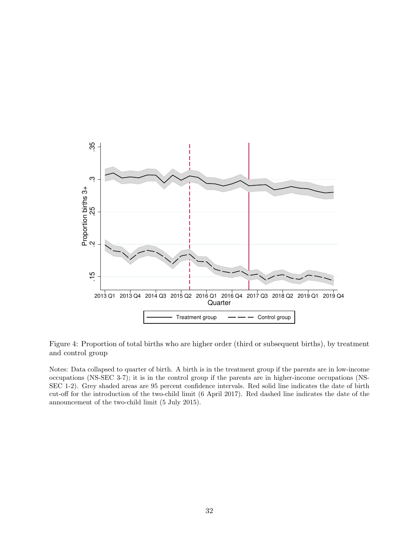

Figure 4: Proportion of total births who are higher order (third or subsequent births), by treatment and control group

Notes: Data collapsed to quarter of birth. A birth is in the treatment group if the parents are in low-income occupations (NS-SEC 3-7); it is in the control group if the parents are in higher-income occupations (NS-SEC 1-2). Grey shaded areas are 95 percent confidence intervals. Red solid line indicates the date of birth cut-off for the introduction of the two-child limit (6 April 2017). Red dashed line indicates the date of the announcement of the two-child limit (5 July 2015).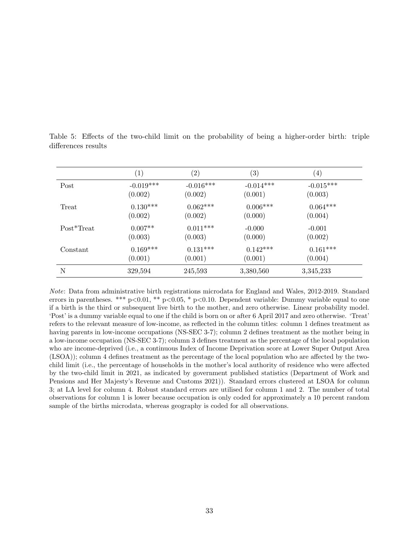|            | $\left( 1\right)$ | $\left( 2\right)$ | $\left( 3\right)$ | $\left( 4\right)$ |
|------------|-------------------|-------------------|-------------------|-------------------|
| Post       | $-0.019***$       | $-0.016***$       | $-0.014***$       | $-0.015***$       |
|            | (0.002)           | (0.002)           | (0.001)           | (0.003)           |
| Treat      | $0.130***$        | $0.062***$        | $0.006***$        | $0.064***$        |
|            | (0.002)           | (0.002)           | (0.000)           | (0.004)           |
| Post*Treat | $0.007**$         | $0.011***$        | $-0.000$          | $-0.001$          |
|            | (0.003)           | (0.003)           | (0.000)           | (0.002)           |
| Constant   | $0.169***$        | $0.131***$        | $0.142***$        | $0.161***$        |
|            | (0.001)           | (0.001)           | (0.001)           | (0.004)           |
| N          | 329,594           | 245,593           | 3,380,560         | 3,345,233         |

Table 5: Effects of the two-child limit on the probability of being a higher-order birth: triple differences results

Note: Data from administrative birth registrations microdata for England and Wales, 2012-2019. Standard errors in parentheses. \*\*\*  $p<0.01$ , \*\*  $p<0.05$ , \*  $p<0.10$ . Dependent variable: Dummy variable equal to one if a birth is the third or subsequent live birth to the mother, and zero otherwise. Linear probability model. 'Post' is a dummy variable equal to one if the child is born on or after 6 April 2017 and zero otherwise. 'Treat' refers to the relevant measure of low-income, as reflected in the column titles: column 1 defines treatment as having parents in low-income occupations (NS-SEC 3-7); column 2 defines treatment as the mother being in a low-income occupation (NS-SEC 3-7); column 3 defines treatment as the percentage of the local population who are income-deprived (i.e., a continuous Index of Income Deprivation score at Lower Super Output Area (LSOA)); column 4 defines treatment as the percentage of the local population who are affected by the twochild limit (i.e., the percentage of households in the mother's local authority of residence who were affected by the two-child limit in 2021, as indicated by government published statistics (Department of Work and Pensions and Her Majesty's Revenue and Customs 2021)). Standard errors clustered at LSOA for column 3; at LA level for column 4. Robust standard errors are utilised for column 1 and 2. The number of total observations for column 1 is lower because occupation is only coded for approximately a 10 percent random sample of the births microdata, whereas geography is coded for all observations.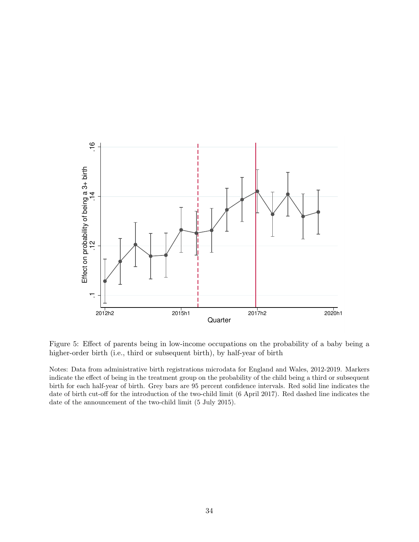

Figure 5: Effect of parents being in low-income occupations on the probability of a baby being a higher-order birth (i.e., third or subsequent birth), by half-year of birth

Notes: Data from administrative birth registrations microdata for England and Wales, 2012-2019. Markers indicate the effect of being in the treatment group on the probability of the child being a third or subsequent birth for each half-year of birth. Grey bars are 95 percent confidence intervals. Red solid line indicates the date of birth cut-off for the introduction of the two-child limit (6 April 2017). Red dashed line indicates the date of the announcement of the two-child limit (5 July 2015).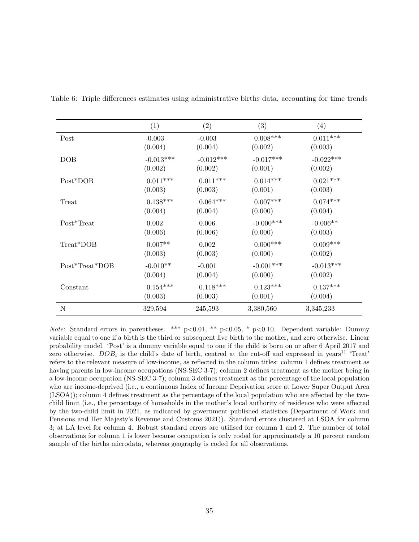|                | (1)             | (2)         | (3)          | (4)         |
|----------------|-----------------|-------------|--------------|-------------|
| Post           | $-0.003$        | $-0.003$    | $0.008***$   | $0.011***$  |
|                | (0.004)         | (0.004)     | (0.002)      | (0.003)     |
| DOB            | $-0.013***$     | $-0.012***$ | $-0.017***$  | $-0.022***$ |
|                | (0.002)         | (0.002)     | (0.001)      | (0.002)     |
| Post*DOB       | $0.011^{***}\,$ | $0.011***$  | $0.014***$   | $0.021***$  |
|                | (0.003)         | (0.003)     | (0.001)      | (0.003)     |
| Treat          | $0.138***$      | $0.064***$  | $0.007***$   | $0.074***$  |
|                | (0.004)         | (0.004)     | (0.000)      | (0.004)     |
| Post*Treat     | 0.002           | 0.006       | $-0.000$ *** | $-0.006**$  |
|                | (0.006)         | (0.006)     | (0.000)      | (0.003)     |
| Treat*DOB      | $0.007**$       | 0.002       | $0.000***$   | $0.009***$  |
|                | (0.003)         | (0.003)     | (0.000)      | (0.002)     |
| Post*Treat*DOB | $-0.010**$      | $-0.001$    | $-0.001***$  | $-0.013***$ |
|                | (0.004)         | (0.004)     | (0.000)      | (0.002)     |
| Constant       | $0.154***$      | $0.118***$  | $0.123***$   | $0.137***$  |
|                | (0.003)         | (0.003)     | (0.001)      | (0.004)     |
| N              | 329,594         | 245,593     | 3,380,560    | 3,345,233   |

Table 6: Triple differences estimates using administrative births data, accounting for time trends

Note: Standard errors in parentheses. \*\*\*  $p<0.01$ , \*\*  $p<0.05$ , \*  $p<0.10$ . Dependent variable: Dummy variable equal to one if a birth is the third or subsequent live birth to the mother, and zero otherwise. Linear probability model. 'Post' is a dummy variable equal to one if the child is born on or after 6 April 2017 and zero otherwise.  $DOB_t$  is the child's date of birth, centred at the cut-off and expressed in years<sup>11</sup> 'Treat' refers to the relevant measure of low-income, as reflected in the column titles: column 1 defines treatment as having parents in low-income occupations (NS-SEC 3-7); column 2 defines treatment as the mother being in a low-income occupation (NS-SEC 3-7); column 3 defines treatment as the percentage of the local population who are income-deprived (i.e., a continuous Index of Income Deprivation score at Lower Super Output Area (LSOA)); column 4 defines treatment as the percentage of the local population who are affected by the twochild limit (i.e., the percentage of households in the mother's local authority of residence who were affected by the two-child limit in 2021, as indicated by government published statistics (Department of Work and Pensions and Her Majesty's Revenue and Customs 2021)). Standard errors clustered at LSOA for column 3; at LA level for column 4. Robust standard errors are utilised for column 1 and 2. The number of total observations for column 1 is lower because occupation is only coded for approximately a 10 percent random sample of the births microdata, whereas geography is coded for all observations.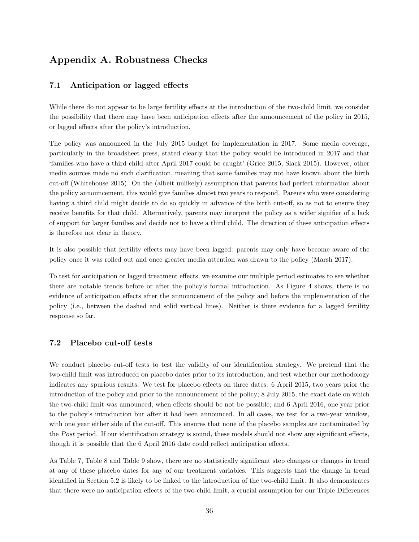## Appendix A. Robustness Checks

#### 7.1 Anticipation or lagged effects

While there do not appear to be large fertility effects at the introduction of the two-child limit, we consider the possibility that there may have been anticipation effects after the announcement of the policy in 2015, or lagged effects after the policy's introduction.

The policy was announced in the July 2015 budget for implementation in 2017. Some media coverage, particularly in the broadsheet press, stated clearly that the policy would be introduced in 2017 and that 'families who have a third child after April 2017 could be caught' (Grice 2015, Slack 2015). However, other media sources made no such clarification, meaning that some families may not have known about the birth cut-off (Whitehouse 2015). On the (albeit unlikely) assumption that parents had perfect information about the policy announcement, this would give families almost two years to respond. Parents who were considering having a third child might decide to do so quickly in advance of the birth cut-off, so as not to ensure they receive benefits for that child. Alternatively, parents may interpret the policy as a wider signifier of a lack of support for larger families and decide not to have a third child. The direction of these anticipation effects is therefore not clear in theory.

It is also possible that fertility effects may have been lagged: parents may only have become aware of the policy once it was rolled out and once greater media attention was drawn to the policy (Marsh 2017).

To test for anticipation or lagged treatment effects, we examine our multiple period estimates to see whether there are notable trends before or after the policy's formal introduction. As Figure 4 shows, there is no evidence of anticipation effects after the announcement of the policy and before the implementation of the policy (i.e., between the dashed and solid vertical lines). Neither is there evidence for a lagged fertility response so far.

#### 7.2 Placebo cut-off tests

We conduct placebo cut-off tests to test the validity of our identification strategy. We pretend that the two-child limit was introduced on placebo dates prior to its introduction, and test whether our methodology indicates any spurious results. We test for placebo effects on three dates: 6 April 2015, two years prior the introduction of the policy and prior to the announcement of the policy; 8 July 2015, the exact date on which the two-child limit was announced, when effects should be not be possible; and 6 April 2016, one year prior to the policy's introduction but after it had been announced. In all cases, we test for a two-year window, with one year either side of the cut-off. This ensures that none of the placebo samples are contaminated by the Post period. If our identification strategy is sound, these models should not show any significant effects, though it is possible that the 6 April 2016 date could reflect anticipation effects.

As Table 7, Table 8 and Table 9 show, there are no statistically significant step changes or changes in trend at any of these placebo dates for any of our treatment variables. This suggests that the change in trend identified in Section 5.2 is likely to be linked to the introduction of the two-child limit. It also demonstrates that there were no anticipation effects of the two-child limit, a crucial assumption for our Triple Differences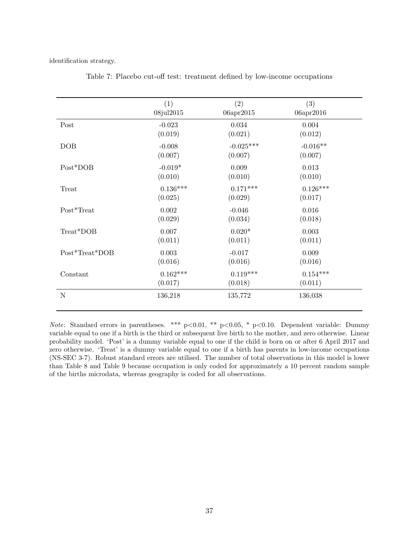identification strategy.

|                | (1)        | (2)         | (3)        |
|----------------|------------|-------------|------------|
|                | 08jul2015  | 06apr2015   | 06apr2016  |
| Post           | $-0.023$   | 0.034       | 0.004      |
|                | (0.019)    | (0.021)     | (0.012)    |
| DOB            | $-0.008$   | $-0.025***$ | $-0.016**$ |
|                | (0.007)    | (0.007)     | (0.007)    |
| Post*DOB       | $-0.019*$  | 0.009       | 0.013      |
|                | (0.010)    | (0.010)     | (0.010)    |
| Treat          | $0.136***$ | $0.171***$  | $0.126***$ |
|                | (0.025)    | (0.029)     | (0.017)    |
| Post*Treat     | 0.002      | $-0.046$    | 0.016      |
|                | (0.029)    | (0.034)     | (0.018)    |
| Treat*DOB      | 0.007      | $0.020*$    | 0.003      |
|                | (0.011)    | (0.011)     | (0.011)    |
| Post*Treat*DOB | 0.003      | $-0.017$    | 0.009      |
|                | (0.016)    | (0.016)     | (0.016)    |
| Constant       | $0.162***$ | $0.119***$  | $0.154***$ |
|                | (0.017)    | (0.018)     | (0.011)    |
| N              | 136,218    | 135,772     | 136,038    |

Table 7: Placebo cut-off test: treatment defined by low-income occupations

Note: Standard errors in parentheses. \*\*\*  $p<0.01$ , \*\*  $p<0.05$ , \*  $p<0.10$ . Dependent variable: Dummy variable equal to one if a birth is the third or subsequent live birth to the mother, and zero otherwise. Linear probability model. 'Post' is a dummy variable equal to one if the child is born on or after 6 April 2017 and zero otherwise. 'Treat' is a dummy variable equal to one if a birth has parents in low-income occupations (NS-SEC 3-7). Robust standard errors are utilised. The number of total observations in this model is lower than Table 8 and Table 9 because occupation is only coded for approximately a 10 percent random sample of the births microdata, whereas geography is coded for all observations.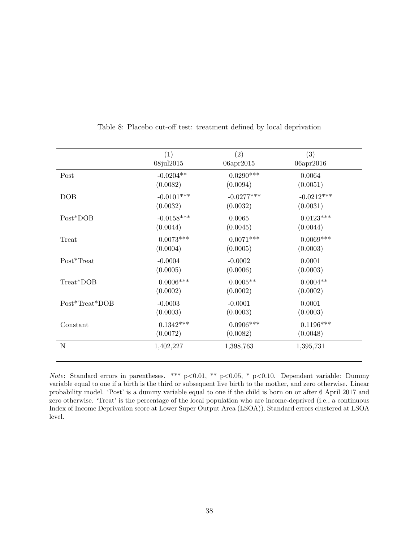|                | (1)          | (2)          | (3)          |
|----------------|--------------|--------------|--------------|
|                | 08jul2015    | 06apr2015    | 06apr2016    |
| Post           | $-0.0204**$  | $0.0290***$  | 0.0064       |
|                | (0.0082)     | (0.0094)     | (0.0051)     |
| DOB            | $-0.0101***$ | $-0.0277***$ | $-0.0212***$ |
|                | (0.0032)     | (0.0032)     | (0.0031)     |
| Post*DOB       | $-0.0158***$ | 0.0065       | $0.0123***$  |
|                | (0.0044)     | (0.0045)     | (0.0044)     |
| Treat          | $0.0073***$  | $0.0071***$  | $0.0069***$  |
|                | (0.0004)     | (0.0005)     | (0.0003)     |
| Post*Treat     | $-0.0004$    | $-0.0002$    | 0.0001       |
|                | (0.0005)     | (0.0006)     | (0.0003)     |
| Treat*DOB      | $0.0006***$  | $0.0005**$   | $0.0004**$   |
|                | (0.0002)     | (0.0002)     | (0.0002)     |
| Post*Treat*DOB | $-0.0003$    | $-0.0001$    | 0.0001       |
|                | (0.0003)     | (0.0003)     | (0.0003)     |
| Constant       | $0.1342***$  | $0.0906***$  | $0.1196***$  |
|                | (0.0072)     | (0.0082)     | (0.0048)     |
| N              | 1,402,227    | 1,398,763    | 1,395,731    |
|                |              |              |              |

Table 8: Placebo cut-off test: treatment defined by local deprivation

Note: Standard errors in parentheses. \*\*\*  $p<0.01$ , \*\*  $p<0.05$ , \*  $p<0.10$ . Dependent variable: Dummy variable equal to one if a birth is the third or subsequent live birth to the mother, and zero otherwise. Linear probability model. 'Post' is a dummy variable equal to one if the child is born on or after 6 April 2017 and zero otherwise. 'Treat' is the percentage of the local population who are income-deprived (i.e., a continuous Index of Income Deprivation score at Lower Super Output Area (LSOA)). Standard errors clustered at LSOA level.